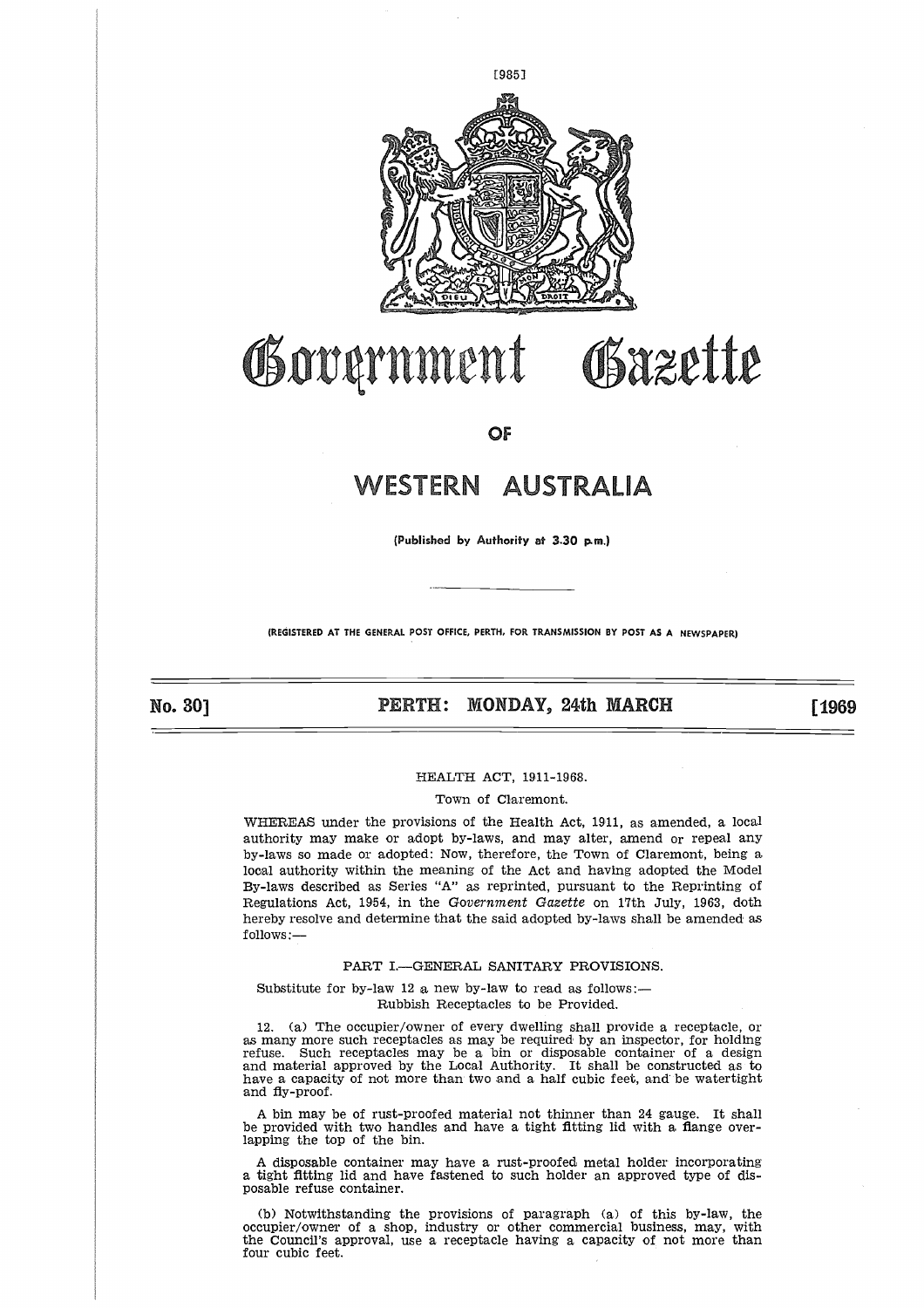

## Governmen

**OF**

# WESTERN AUSTRALI **RALI**

**(Published by Authority at 3.30 p.m.)**

**(REGISTERED AT THE GENERAL POST OFFICE, PERTH, FOR TRANSMISSION BY POST AS A NEWSPAPER)**

No. 301

## **PERTH: MONDAY, 24th MARCH [1969]**

#### HEALTH ACT, 1911-1968.

#### Town of Claremont.

WHEREAS under the provisions of the Health Act, 1911, as amended, a local authority may make or adopt by-laws, and may alter, amend or repeal any by-laws so made or adopted: Now, therefore, the Town of Claremont, being a local authority within the meaning of the Act and having adopted the Model By-laws described as Series "A" as reprinted, pursuant to the Reprinting of Regulations Act, 1954, in the *Government Gazette* on 17th July, 1963, doth hereby resolve and determine that the said adopted by-laws shall be amended as follows:—

#### PART I.—GENERAL SANITARY PROVISIONS.

Substitute for by-law 12 a new by-law to read as follows:— Rubbish Receptacles to be Provided.

12. (a) The occupier/owner of every dwelling shall provide a receptacle, or as many more such receptacles as may be required by an inspector, for holding refuse. Such receptacles may be a bin or disposable container of a design and material approved by the Local Authority. It shall be constructed as to have a capacity of not more than two and a half cubic feet, and be watertight and fly-proof.

A bin may be of rust-proofed material not thinner than 24 gauge. It shall be provided with two handles and have a tight fitting lid with a flange overlapping the top of the bin.

A disposable container may have a rust-proofed metal holder incorporating a tight fitting lid and have fastened to such holder an approved type of disposable refuse container.

(b) Notwithstanding the provisions of paragraph (a) of this by-law, the occupier/owner of a shop, industry or other commercial business, may, with the Council's approval, use a receptacle having a capacity of not more than four cubic feet.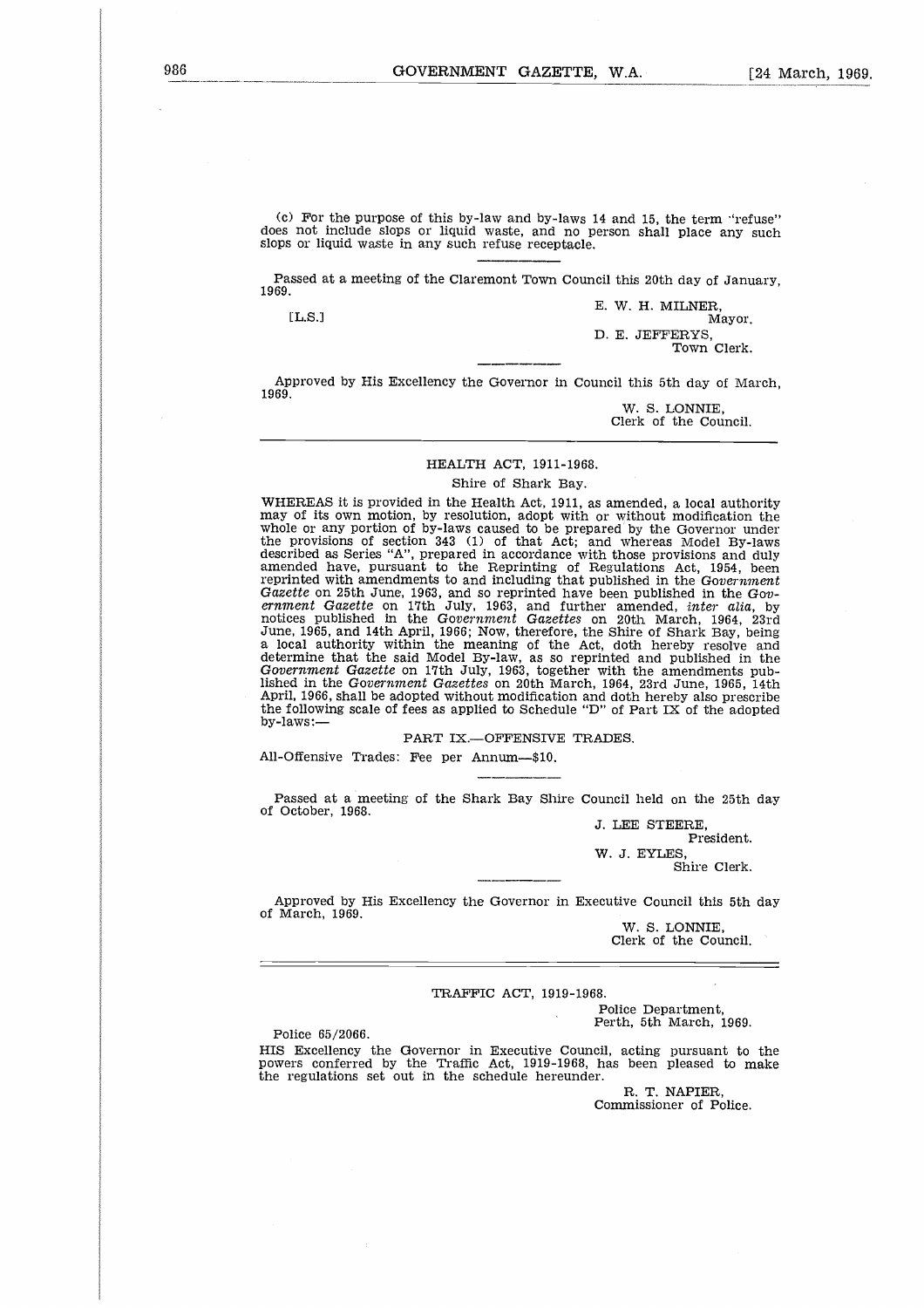(c) For the purpose of this by-law and by-laws 14 and 15, the term "refuse" does not include slops or liquid waste, and no person shall place any such slops or liquid waste in any such refuse receptacle. For the purpose of this by-law and by-laws 14 and 15, the term "ref<br>
not include slops or liquid waste, and no person shall place any<br>
or liquid waste in any such refuse receptacle.<br>
<br>
Seed at a meeting of the Claremont To

Passed at a meeting of the Claremont Town Council this 20th day of January, 1969.

E. W. H. MILNER, D. E. JEFFERYS, Town Clerk.

Approved by His Excellency the Governor in Council this 5th day of March, 1969.

> W. S. LONNIE, Clerk of the Council.

#### HEALTH ACT, 1911-1968.

#### Shire of Shark Bay.

WHEREAS it is provided in the Health Act, 1911, as amended, a local authority may of its own motion, by resolution, adopt with or without modification the whole or any portion of by-laws caused to be prepared by the Governor under the provisions of section 343 (1) of that Act; and whereas Model By-laws described as Series "A", prepared in accordance with those provisions and duly amended have, pursuant to the Reprinting of Regulations Act, 1954, been reprinted with amendments to and including that published in the *Government Gazette* on 25th June, 1963, and so reprinted have been published in the Gov-<br>*ernment Gazette* on 17th July, 1963, and further amended, *inter alia*, by<br>notices published in the Government Gazettes on 20th March, 1964, 2 June, 1965, and 14th April, 1966; Now, therefore, the Shire of Shark Bay, being a local authority within the meaning of the Act, doth hereby resolve and determine that the said Model By-law, as so reprinted and published in the *Government Gazette* on 17th July, 1963, together with the amendments published in the *Government Gazettes* on 20th March, 1964, 23rd June, 1965, 14th April, 1966, shall be adopted without modification and doth hereby also prescribe the following scale of fees as applied to Schedule "D" of Part IX of the adopted by-laws:—

PART IX.-OFFENSIVE TRADES.

All-Offensive Trades: Fee per Annum—\$10.

Passed at a meeting of the Shark Bay Shire Council held on the 25th day of October, 1968.

> J. LEE STEERE, President. W. J. EYLES,

Shire Clerk.

Approved by His Excellency the Governor in Executive Council this 5th day of March, 1969.

> W. S. LONNIE, Clerk of the Council.

#### TRAFFIC ACT, 1919-1968.

Police Department, Perth, 5th March, 1969.

Police 65/2066.

HIS Excellency the Governor in Executive Council, acting pursuant to the powers conferred by the Traffic Act, 1919-1968, has been pleased to make the regulations set out in the schedule hereunder.

> R. T. NAPIER, Commissioner of Police.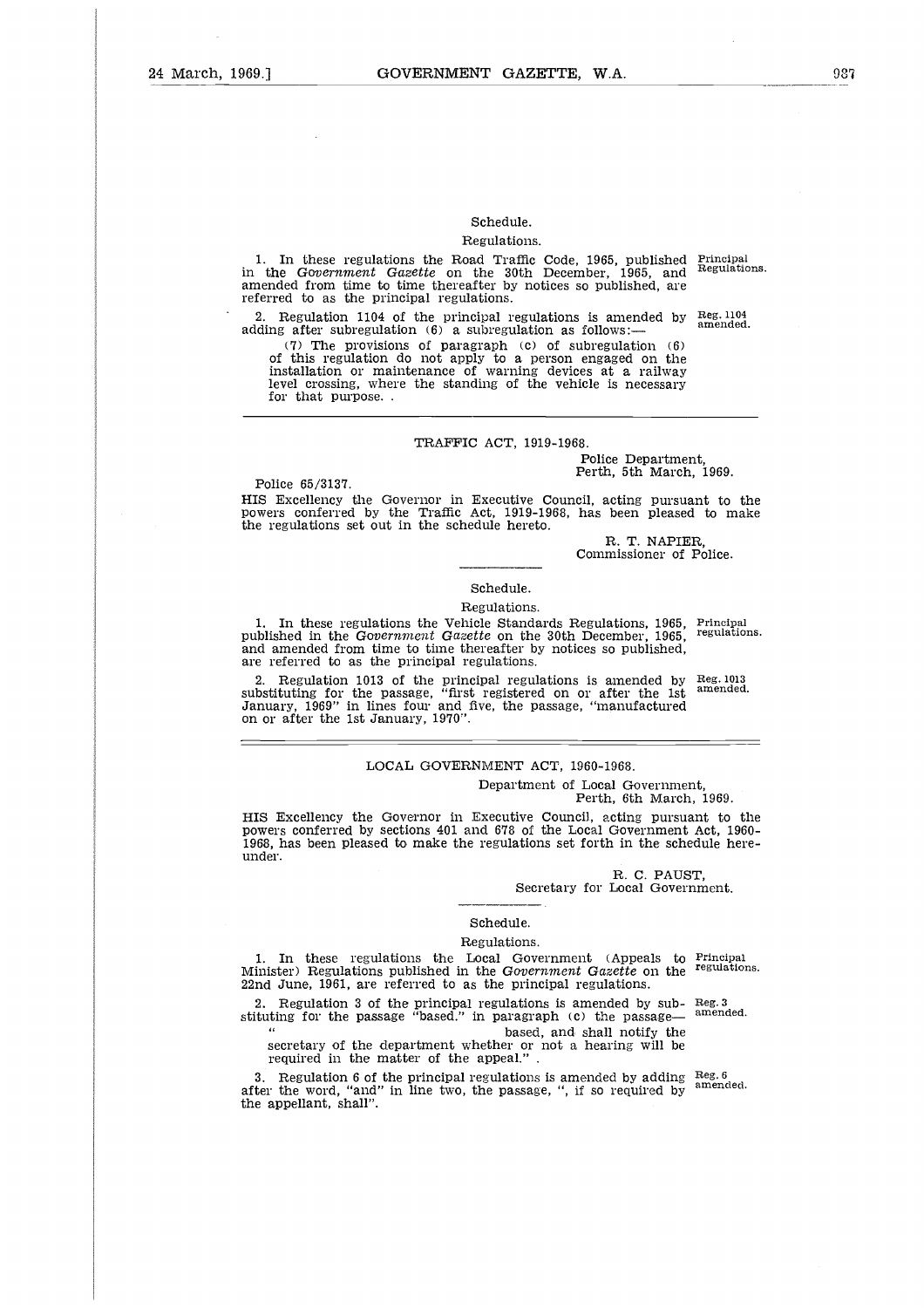## Schedule.

#### Regulations.

1. In these regulations the Road Traffic Code, 1965, published in the *Government Gazette* on the 30th December, 1965, and amended from time to time thereafter by notices so published, are referred to as the principal regulations. Principal Regulations.

2. Regulation 1104 of the principal regulations is amended by adding after subregulation (6) a subregulation as follows: Reg. 1104 amended.

(7) The provisions of paragraph (c) of subregulation (6) of this regulation do not apply to a person engaged on the installation or maintenance of warning devices at a railway level crossing, where the standing of the vehicle is necessary for that purpose. .

#### TRAFFIC ACT, 1919-1968.

Police Department, Perth, 5th March, 1969.

Police 65/3137.

under.

HIS Excellency the Governor in Executive Council, acting pursuant to the powers conferred by the Traffic Act, 1919-1968, has been pleased to make the regulations set out in the schedule hereto.

> R. T. NAPIER, Commissioner of Police.

#### Schedule.

#### Regulations.

1. In these regulations the Vehicle Standards Regulations, 1965, Principal in the *Covernment Cagette* on the 30th December 1965, regulations. published in the *Government Gazette* on the 30th December, 1965, and amended from time to time thereafter by notices so published, are referred to as the principal regulations.

2. Regulation 1013 of the principal regulations is amended by substituting for the passage, "first registered on or after the 1st January, 1969" in lines four and five, the passage, "manufactured on or after the 1st January, 1970".

#### LOCAL GOVERNMENT ACT, 1960-1968. Department of Local Government,

Perth, 6th March, 1969. HIS Excellency the Governor in Executive Council, acting pursuant to the powers conferred by sections 401 and 678 of the Local Government Act, 1960- 1968, has been pleased to make the regulations set forth in the schedule here-

> R. C. FAUST, Secretary for Local Government.

## Schedule.

#### Regulations.

1. In these regulations the Local Government (Appeals to Minister) Regulations published in the *Government Gazette* on the 22nd June, 1961, are referred to as the principal regulations. Principal regulations.

2. Regulation 3 of the principal regulations is amended by sub-2. Regulation 3 of the principal regulations is amended by  $sub$ – Reg. 3 stituting for the passage "based." in paragraph (c) the passage—  $\frac{amended.}{}$ 

based, and shall notify the secretary of the department whether or not a hearing will be required in the matter of the appeal."

3. Regulation 6 of the principal regulations is amended by adding after the word, "and" in line two, the passage, ", if so required by the appellant, shall". Reg. 6 amended.

Reg. 1013 amended.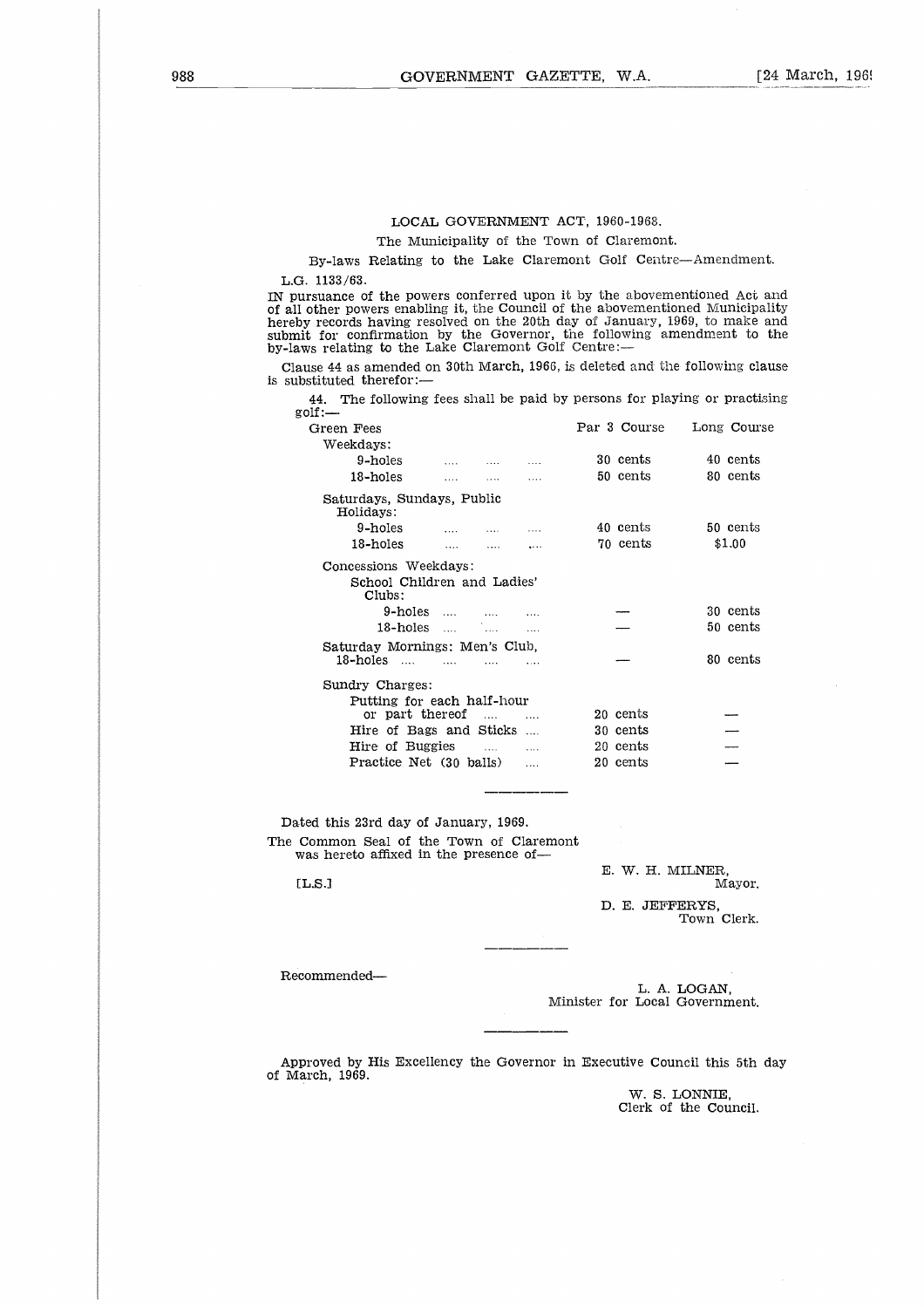#### LOCAL GOVERNMENT ACT, 1960-1968.

The Municipality of the Town of Claremont.

By-laws Relating to the Lake Claremont Golf Centre—Amendment. L.G. 1133/63.

IN pursuance of the powers conferred upon it by the abovementioned Act and of all other powers enabling it, the Council of the abovementioned Municipality hereby records having resolved on the 20th day of January, 1969, to make and submit for confirmation by the Governor, the following amendment to the by-laws relating to the Lake Claremont Golf Centre: The Municipality of the Town of Claremont.<br>
By-laws Relating to the Lake Claremont Golf Centre—Amendment.<br>
1133/63.<br>
Suance of the powers conferred upon it by the abovementioned Act are<br>
records having resolved on the 20th

Clause 44 as amended on 30th March, 1966, is deleted and the following clause is substituted therefor:-

| 3. 1133/63.                                                                                                                                                                                                                                                                                                                                        |                   |                     |           |                  |             |
|----------------------------------------------------------------------------------------------------------------------------------------------------------------------------------------------------------------------------------------------------------------------------------------------------------------------------------------------------|-------------------|---------------------|-----------|------------------|-------------|
| ursuance of the powers conferred upon it by the abovementioned Act a<br>I other powers enabling it, the Council of the abovementioned Municipal<br>by records having resolved on the 20th day of January, 1969, to make a<br>hit for confirmation by the Governor, the following amendment to t<br>ws relating to the Lake Claremont Golf Centre:- |                   |                     |           |                  |             |
| ause 44 as amended on 30th March, 1966, is deleted and the following clar<br>bstituted therefor:—                                                                                                                                                                                                                                                  |                   |                     |           |                  |             |
| 44. The following fees shall be paid by persons for playing or practising<br>$=$ :dog                                                                                                                                                                                                                                                              |                   |                     |           |                  |             |
| Green Fees                                                                                                                                                                                                                                                                                                                                         |                   |                     |           | Par 3 Course     | Long Course |
| Weekdays:                                                                                                                                                                                                                                                                                                                                          |                   |                     |           |                  |             |
| 9-holes                                                                                                                                                                                                                                                                                                                                            |                   | $\ldots$ . $\ldots$ |           | 30 cents         | 40 cents    |
| 18-holes                                                                                                                                                                                                                                                                                                                                           | $\ldots$          | <b>Second</b>       | $\cdots$  | 50 cents         | 80 cents    |
| Saturdays, Sundays, Public<br>Holidays:                                                                                                                                                                                                                                                                                                            |                   |                     |           |                  |             |
| 9-holes                                                                                                                                                                                                                                                                                                                                            | and the           | <b>Alan Control</b> | $\ldots$  | 40 cents         | 50 cents    |
| 18-holes                                                                                                                                                                                                                                                                                                                                           | <b>Collection</b> | <b>Albany</b>       | $\cdots$  | 70 cents         | \$1.00      |
| Concessions Weekdays:<br>School Children and Ladies'<br>Clubs:<br>9-holes                                                                                                                                                                                                                                                                          |                   | $\sim$              |           |                  | 30 cents    |
| 18-holes                                                                                                                                                                                                                                                                                                                                           |                   | $\cdots$            |           |                  | 50 cents    |
| Saturday Mornings: Men's Club,<br>18-holes ….                                                                                                                                                                                                                                                                                                      | <b>Contract</b>   | <b>Contract</b>     | $\sim$    |                  | 80 cents    |
| Sundry Charges:<br>Putting for each half-hour<br>or part thereof                                                                                                                                                                                                                                                                                   |                   | $\ldots$            | $\cdots$  | 20 cents         |             |
| Hire of Bags and Sticks                                                                                                                                                                                                                                                                                                                            |                   |                     |           | 30 cents         |             |
| Hire of Buggies                                                                                                                                                                                                                                                                                                                                    |                   |                     | .         | 20 cents         |             |
| Practice Net (30 balls)                                                                                                                                                                                                                                                                                                                            |                   |                     | $\ddotsc$ | 20 cents         |             |
|                                                                                                                                                                                                                                                                                                                                                    |                   |                     |           |                  |             |
| ted this 23rd day of January, 1969.                                                                                                                                                                                                                                                                                                                |                   |                     |           |                  |             |
| Common Seal of the Town of Claremont<br>was hereto affixed in the presence of—                                                                                                                                                                                                                                                                     |                   |                     |           |                  |             |
| [LS.]                                                                                                                                                                                                                                                                                                                                              |                   |                     |           | E. W. H. MILNER, | Mayor.      |
|                                                                                                                                                                                                                                                                                                                                                    |                   |                     |           | D. E. JEFFERYS.  | Town Clerk. |
|                                                                                                                                                                                                                                                                                                                                                    |                   |                     |           |                  |             |

Dated this 23rd day of January, 1969. The Common Seal of the Town of Claremont was hereto affixed in the presence of

Recommended-

L. A. LOGAN, Minister for Local Government.

Approved by His Excellency the Governor in Executive Council this 5th day of March, 1969.

> W. S. LONNIE, Clerk of the Council.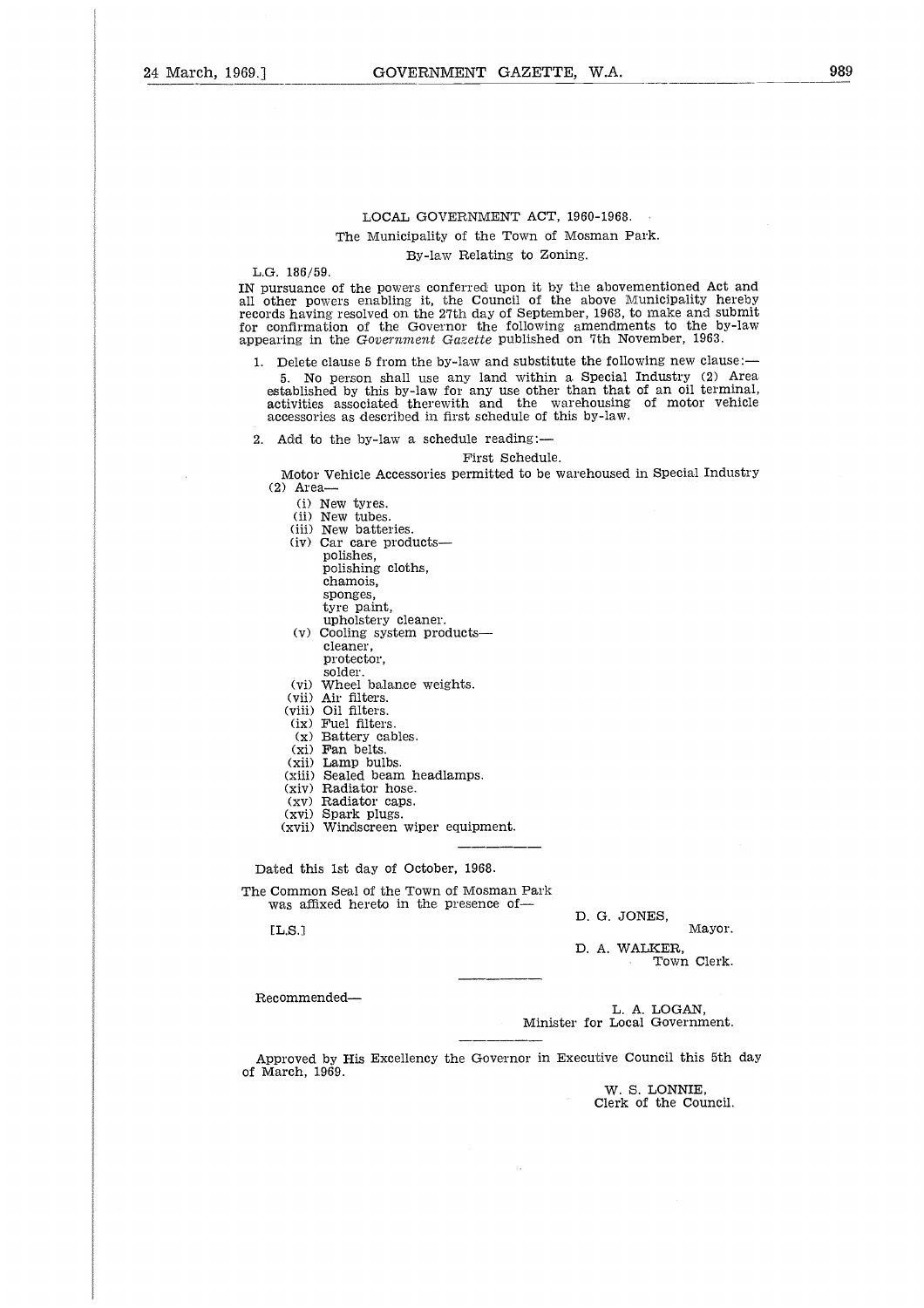By-law Relating to Zoning.

L.G. 186/59.

IN pursuance of the powers conferred upon it by the abovementioned Act and all other powers enabling it, the Council of the above Municipality hereby records having resolved on the 27th day of September, 1968, to make and submit for confirmation of the Governor the following amendments to the by-law appearing in the *Government Gazette* published on 7th November, 1963.

1. Delete clause 5 from the by-law and substitute the following new clause:- 5. No person shall use any land within a Special Industry (2) Area established by this by-law for any use other than that of an oil terminal, activities associated therewith and the warehousing of motor vehicle accessories as described in first schedule of this by-law.

2. Add to the by-law a schedule reading:—

First Schedule.

Motor Vehicle Accessories permitted to be warehoused in Special Industry (2) Area-

(i) New tyres.

(ii) New tubes.

- (iii) New batteries. (iv) Car care products polishes, polishing cloths, chamois, sponges, tyre paint, upholstery cleaner.
- (v) Cooling system products cleaner, protector, solder.
- (vi) Wheel balance weights.
- (vii) Air filters.
- (viii) Oil filters.
- (ix) Fuel filters.
- (x) Battery cables.
- (xi) Fan belts.
- (xii) Lamp bulbs.
- (xiii) Sealed beam headlamps.
- (xiv) Radiator hose.
- (xv) Radiator caps. (xvi) Spark plugs.
- (xvii) Windscreen wiper equipment.

Dated this 1st day of October, 1968.

The Common Seal of the Town of Mosman Park was affixed hereto in the presence of (x) Bauery capes.<br>
(xii) Lamp bulbs.<br>
(xii) Lamp bulbs.<br>
(xiv) Radiator hose.<br>
(xv) Radiator caps.<br>
(xvi) Spark plugs.<br>
(xvii) Windscreen wiper equipment.<br>
<br>
and this 1st day of October, 1968.<br>
Common Seal of the Town of M

D. G. JONES,

D. A. WALKER,

Town Clerk.

Recommended

L. A. LOGAN, Minister for Local Government.

Approved by His Excellency the Governor in Executive Council this 5th day of March, 1969.

> W. S. LONNIE, Clerk of the Council.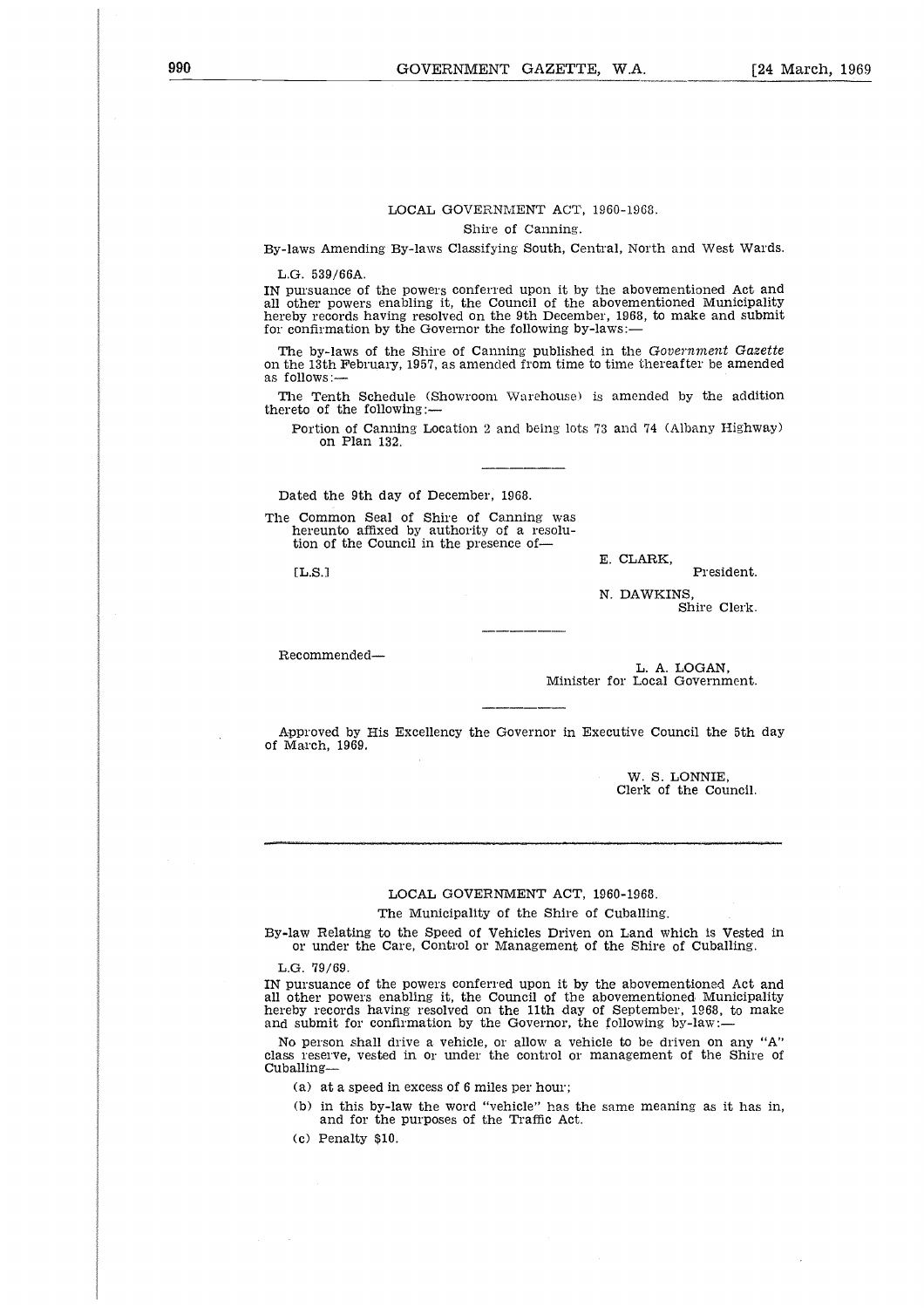#### LOCAL GOVERNMENT ACT, 1960-1968.

Shire of Canning.

By-laws Amending By-laws Classifying South, Central, North and West Wards.

L.G. 539/66A.

IN pursuance of the powers conferred upon it by the abovementioned Act and all other powers enabling it, the Council of the abovementioned Municipality hereby records having resolved on the 9th December, 1968, to make and submit for confirmation by the Governor the following by-laws:

The by-laws of the Shire of Canning published in the *Government Gazette* on the 13th February, 1957, as amended from time to time thereafter be amended as follows:

The Tenth Schedule (Showroom Warehouse) is amended by the addition thereto of the following:

Portion of Canning Location 2 and being lots 73 and 74 (Albany Highway) on Plan 132.

Dated the 9th day of December, 1968.

The Common Seal of Shire of Canning was hereunto affixed by authority of a resolution of the Council in the presence of-

E. CLARK,

EL.S.l President.

N. DAWKINS Shire Clerk.

Recommended

L. A. LOGAN, Minister for Local Government.

Approved by His Excellency the Governor in Executive Council the 5th day of March, 1969.

> W. S. LONNIE, Clerk of the Council.

#### LOCAL GOVERNMENT ACT, 1960-1968.

The Municipality of the Shire of Cuballing.

By-law Relating to the Speed of Vehicles Driven on Land which is Vested in or under the Care, Control or Management of the Shire of Cuballing.

L.G. 79/69.

IN pursuance of the powers conferred upon it by the abovementioned Act and all other powers enabling it, the Council of the abovementioned Municipality hereby records having resolved on the 11th day of September, 1968, to make and submit for confirmation by the Governor, the following by-law:

No person shall drive a vehicle, or allow a vehicle to be driven on any "A" class reserve, vested in or under the control or management of the Shire of Cuballing-

(a) at a speed in excess of 6 miles per hour;

(b) in this by-law the word "vehicle" has the same meaning as it has in, and for the purposes of the Traffic Act.

(c) Penalty \$10.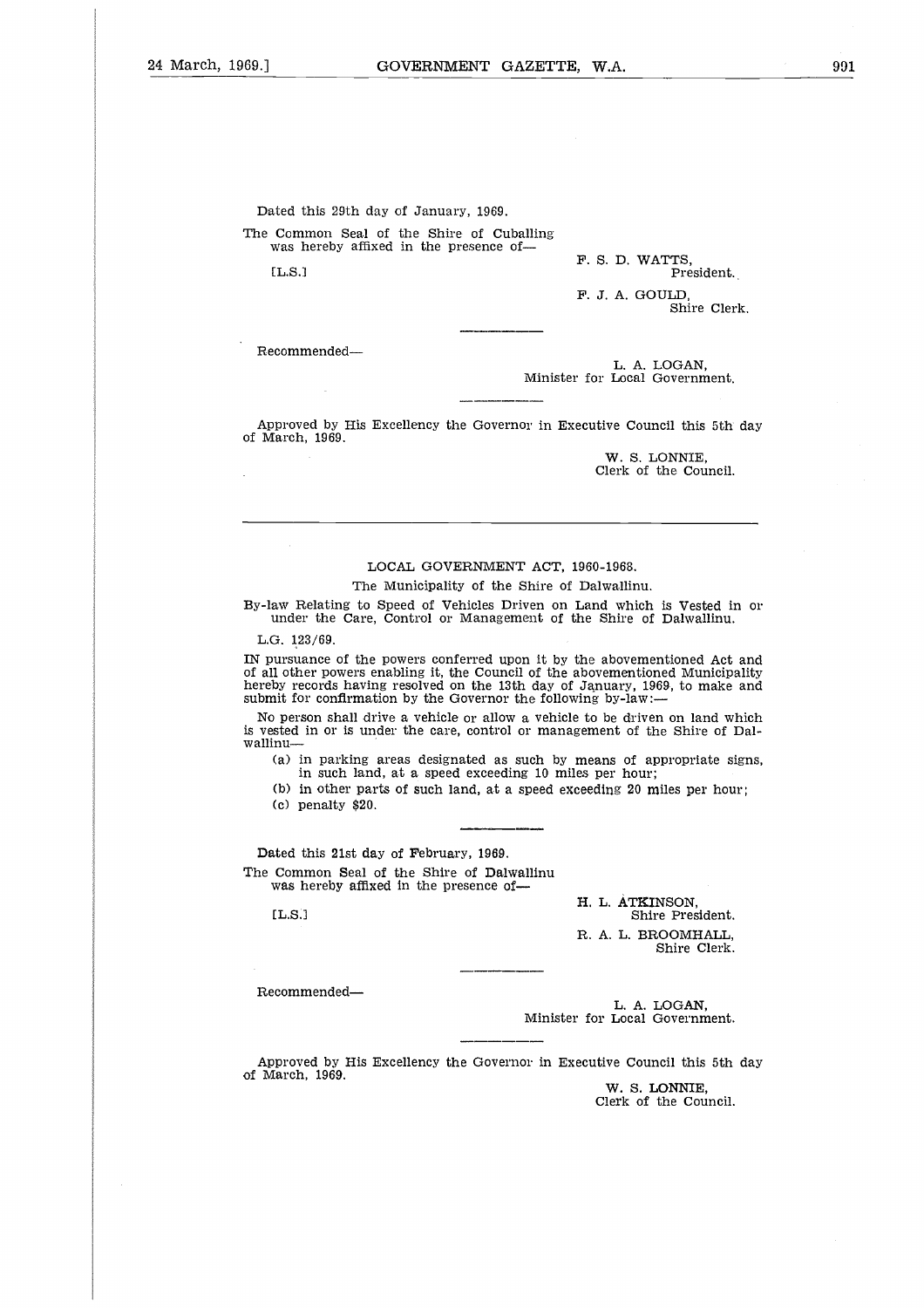Dated this 29th day of January, 1969. The Common Seal of the Shire of Cuballing was hereby affixed in the presence of Ated this 29th day of January, 1969.<br>
Common Seal of the Shire of Cuballing<br>
was hereby affixed in the presence of-<br>
F. S. D. WATTS,<br>
F. J. A. GOULD,<br>
Shire Clen<br>
Shire Clen

F. S. D. WATTS,

F. J. A. GOULD, Shire Clerk.

Recommended

L. A. LOGAN, Minister for Local Government.

Approved by His Excellency the Governor in Executive Council this 5th day of March, 1969.

> W. S. LONNIE, Clerk of the Council.

#### LOCAL GOVERNMENT ACT, 1960-1968.

The Municipality of the Shire of Dalwallinu.

By-law Relating to Speed of Vehicles Driven on Land which is Vested in or under the Care, Control or Management of the Shire of Dahvallinu.

L.G. 123/69.

IN pursuance of the powers conferred upon it by the abovementioned Act and of all other powers enabling it, the Council of the abovementioned Municipality hereby records having resolved on the 13th day of January, 1969, to make and submit for confirmation by the Governor the following by-law:-

No person shall drive a vehicle or allow a vehicle to be driven on land which is vested in or is under the care, control or management of the Shire of Dalwallinu o in<br>
n<br>
n<br>
n<br>
n<br>
ie

(a) in parking areas designated as such by means of appropriate signs, in such land, at a speed exceeding 10 miles per hour;

(b) in other parts of such land, at a speed exceeding 20 miles per hour;

(c) penalty \$20.

Dated this 21st day of February, 1969. The Common Seal of the Shire of Dalwallinu was hereby affixed in the presence of-

EL.S.1

H. L. ATKINSON, Shire President. R. A. L. BROOMHALL, Shire Clerk.

Recommended

L. A. LOGAN, Minister for Local Government.

Approved by His Excellency the Governor in Executive Council this 5th day of March, 1969.

**W. S.** LONNIE, Clerk of the Council.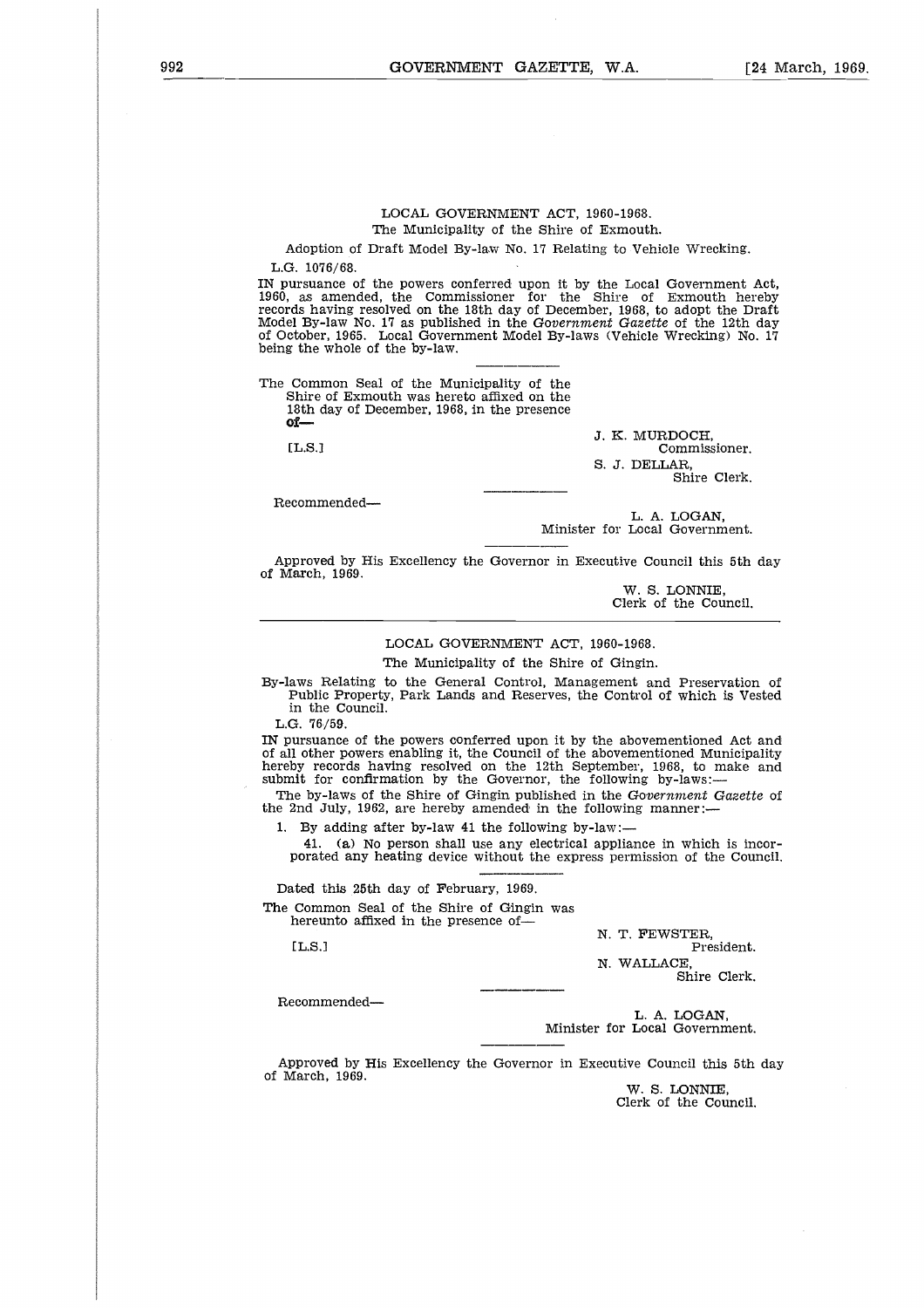#### LOCAL GOVERNMENT ACT, 1960-1968. The Municipality of the Shire of Exmouth.

Adoption of Draft Model By-law No. 17 Relating to Vehicle Wrecking.

L.G. 1076/68.

IN pursuance of the powers conferred upon it by the Local Government Act, 1960, as amended, the Commissioner for the Shire of Exmouth hereby records having resolved on the 18th day of December, 1968, to adopt the Draft Model By-law No. 17 as published in the *Government Gazette* of the 12th day of October, 1965. Local Government Model By-laws (Vehicle Wrecking) No. 17 being the whole of the by-law. Adoptic<br>
F. 1076<br>
ursuar as a<br>
as a<br>
ds hav-<br>
<u>11 B</u>y-l<br> **Comm**<br>
Shire comm<br>
Shire ds<br>
18th ds<br>
11 L.S.<br>
1

The Common Seal of the Municipality of the Shire of Exmouth was hereto affixed on the 18th day of December, 1968, in the presence **of-**

 $[LL.S.]$ 

J. K. MURDOCH, Commissioner. S. J. DELLAR, Shire Clerk.

Recommended

L. A. LOGAN, Minister for Local Government.

Approved by His Excellency the Governor in Executive Council this 5th day of March, 1969.

> W. S. LONNIE, Clerk of the Council.

#### LOCAL GOVERNMENT ACT, 1960-1968.

The Municipality of the Shire of Gingin.

By-laws Relating to the General Control, Management and Preservation of Public Property, Park Lands and Reserves, the Control of which is Vested in the Council.

L.G. 76/59.

IN pursuance of the powers conferred upon it by the abovementioned Act and of all other powers enabling it, the Council of the abovementioned Municipality hereby records having resolved on the 12th September, 1968, to make and submit for confirmation by the Governor, the following by-laws: under<br>[1] other<br>py reception for the by-lind Ju<br>By a 41.<br>41. eted the Commercian<br>hereun<br>[1] L.S.]

The by-laws of the Shire of Gingin published in the *Government Gazette* of the 2nd July, 1962, are hereby amended in the following manner:-

By adding after by-law 41 the following by-law:-

41. (a) No person shall use any electrical appliance in which is incorporated any heating device without the express permission of the Council.

Dated this 25th day of February, 1969. The Common Seal of the Shire of Gingin was hereunto affixed in the presence of-

 $[LLS.]$ 

N. T. FEWSTER, President.

N. WALLACE, Shire Clerk.

Recommended

L. A. LOGAN, Minister for Local Government.

Approved by His Excellency the Governor in Executive Council this 5th day of March, 1969.

W. S. LONNIE, Clerk of the Council.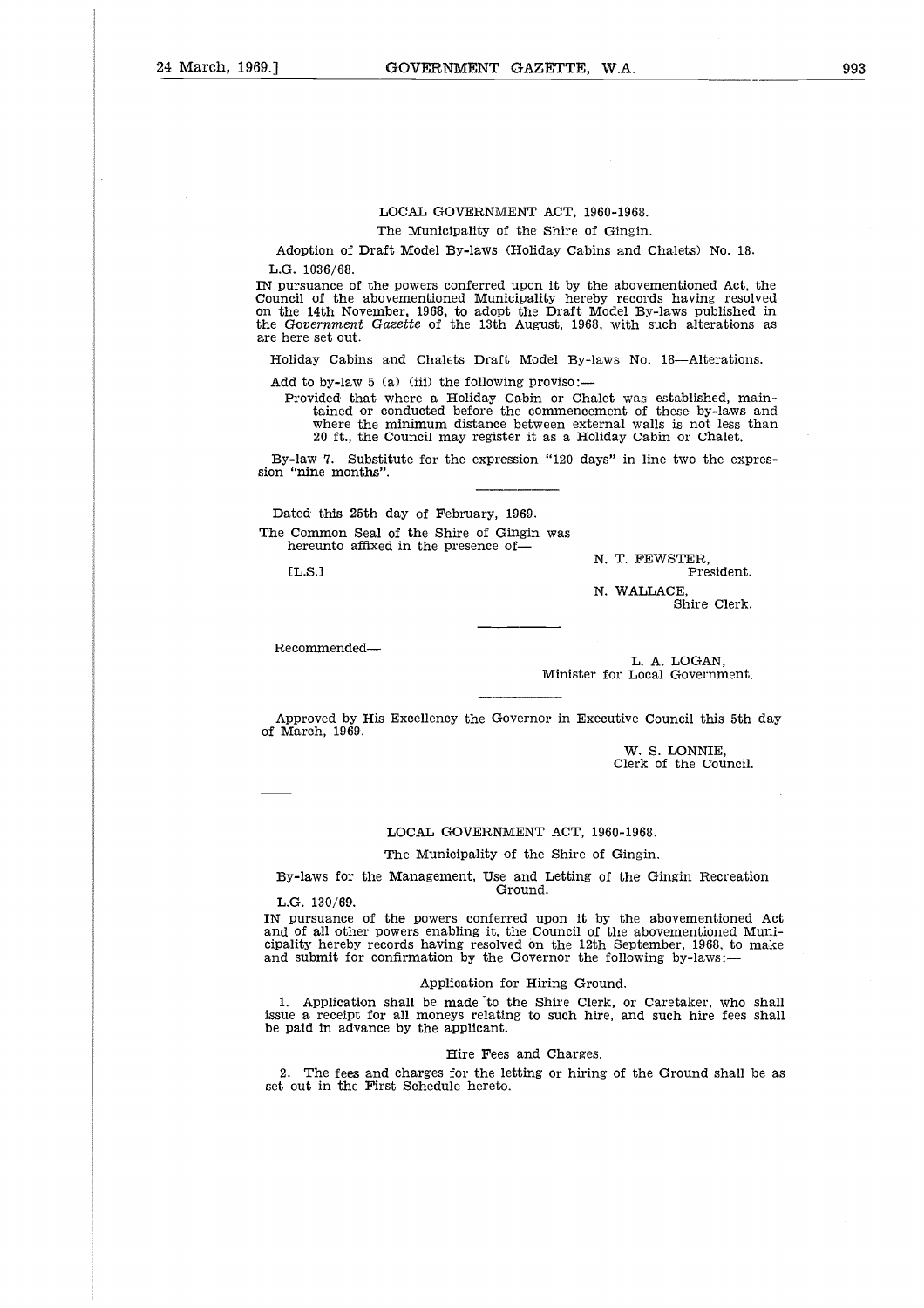#### LOCAL GOVERNMENT ACT, 1960-1968.

The Municipality of the Shire of Gingin.

Adoption of Draft Model By-laws (Holiday Cabins and Chalets) No. 18. L.G. 1036/68.

IN pursuance of the powers conferred upon it by the abovementioned Act, the Council of the abovementioned Municipality hereby records having resolved on the 14th November, 1968, to adopt the Draft Model By-laws published in the *Government Gazette* of the 13th August, 1968, with such alterations as are here set out.

Holiday Cabins and Chalets Draft Model By-laws No. 18—Alterations.

Add to by-law 5 (a) (iii) the following proviso:-

Provided that where a Holiday Cabin or Chalet was established, maintained or conducted before the commencement of these by-laws and where the minimum distance between external walls is not less than 20 ft., the Council may register it as a Holiday Cabin or Chalet. d to by-law 5 (a) (iii) the following proviso:—<br>
Provided that where a Holiday Cabin or Chalet was established, m<br>
tained or conducted before the commencement of these by-laws<br>
where the minimum distance between external w

By-law 7. Substitute for the expression "120 days" in line two the expression "nine months".

Dated this 25th day of February, 1969. The Common Seal of the Shire of Gingin was hereunto affixed in the presence of

N. T. FEWSTER,<br>President.

N. WALLACE,

Shire Clerk.

Recommended

L. A. LOGAN, Minister for Local Government.

Approved by His Excellency the Governor in Executive Council this 5th day of March, 1969.

> W. S. LONNIE, Clerk of the Council.

#### LOCAL GOVERNMENT ACT, 1960-1968.

The Municipality of the Shire of Gingin.

By-laws for the Management, Use and Letting of the Gingin Recreation Ground.

L.G. 130/69.

IN pursuance of the powers conferred upon it by the abovementioned Act and of all other powers enabling it, the Council of the abovementioned Municipality hereby records having resolved on the 12th September, 1968, to make and submit for confirmation by the Governor the following by-laws:

#### Application for Hiring Ground.

1. Application shall be made to the Shire Clerk, or Caretaker, who shall issue a receipt for all moneys relating to such hire, and such hire fees shall be paid in advance by the applicant.

#### Hire Fees and Charges.

2. The fees and charges for the letting or hiring of the Ground shall be as set out in the First Schedule hereto.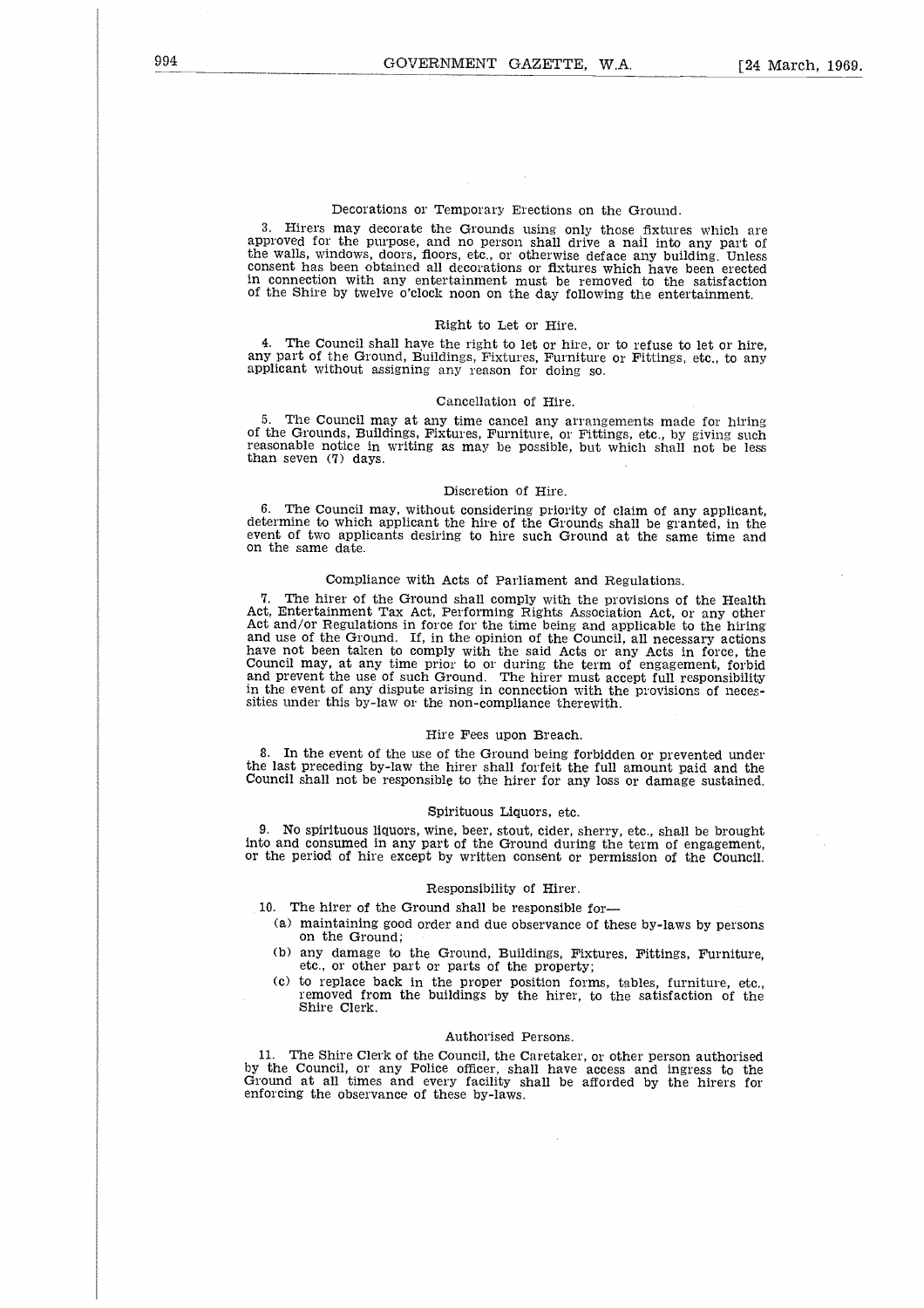#### Decorations or Temporary Erections on the Ground.

3. Hirers may decorate the Grounds using only those fixtures which are approved for the purpose, and no person shall drive a nail into any part of the walls, windows, doors, floors, etc., or otherwise deface any building. Unless consent has been obtained all decorations or fixtures which have been erected in connection with any entertainment must be removed to the satisfaction of the Shire by twelve o'clock noon on the day following the entertainment.

#### Right to Let or Hire.

4. The Council shall have the right to let or hire, or to refuse to let or hire, any part of the Ground, Buildings, Fixtures, Furniture or Fittings, etc., to any applicant without assigning any reason for doing so.

#### Cancellation of Hire.

The Council may at any time cancel any arrangements made for hiring of the Grounds, Buildings, Fixtures, Furniture, or Fittings, etc., by giving such reasonable notice in writing as may be possible, but which shall not be less than seven (7) days.

#### Discretion of Hire.

6. The Council may, without considering priority of claim of any applicant, determine to which applicant the hire of the Grounds shall be granted, in the event of two applicants desiring to hire such Ground at the same time and on the same date.

#### Compliance with Acts of Parliament and Regulations.

7. The hirer of the Ground shall comply with the provisions of the Health Act, Entertainment Tax Act, Performing Rights Association Act, or any other Act and/or Regulations in force for the time being and applicable to the hiring and use of the Ground. If, in the opinion of the Council, all necessary actions have not been taken to comply with the said Acts or any Acts in force, the Council may, at any time prior to or during the term of engagement, forbid and prevent the use of such Ground. The hirer must accept full responsibility in the event of any dispute arising in connection with the provisions of necessities under this by-law or the non-compliance therewith.

#### Hire Fees upon Breach.

8. In the event of the use of the Ground being forbidden or prevented under the last preceding by-law the hirer shall forfeit the full amount paid and the Council shall not be responsible to the hirer for any loss or damage sustained.

#### Spirituous Liquors, etc.

9. No spirituous liquors, wine, beer, stout, cider, sherry, etc., shall be brought into and consumed in any part of the Ground during the term of engagement or the period of hire except by written consent or permission of the Council,

#### Responsibility of Hirer.

10. The hirer of the Ground shall be responsible for

- (a) maintaining good order and due observance of these by-laws by persons on the Ground;
- (b) any damage to the Ground, Buildings, Fixtures, Fittings, Furniture, etc., or other part or parts of the property;
- (c) to replace back in the proper position forms, tables, furniture, etc., removed from the buildings by the hirer, to the satisfaction of the Shire Clerk.

#### Authorised Persons.

11. The Shire Clerk of the Council, the Caretaker, or other person authorised by the Council, or any Police officer, shall have access and ingress to the Ground at all times and every facility shall be afforded by the hirers for enforcing the observance of these by-laws.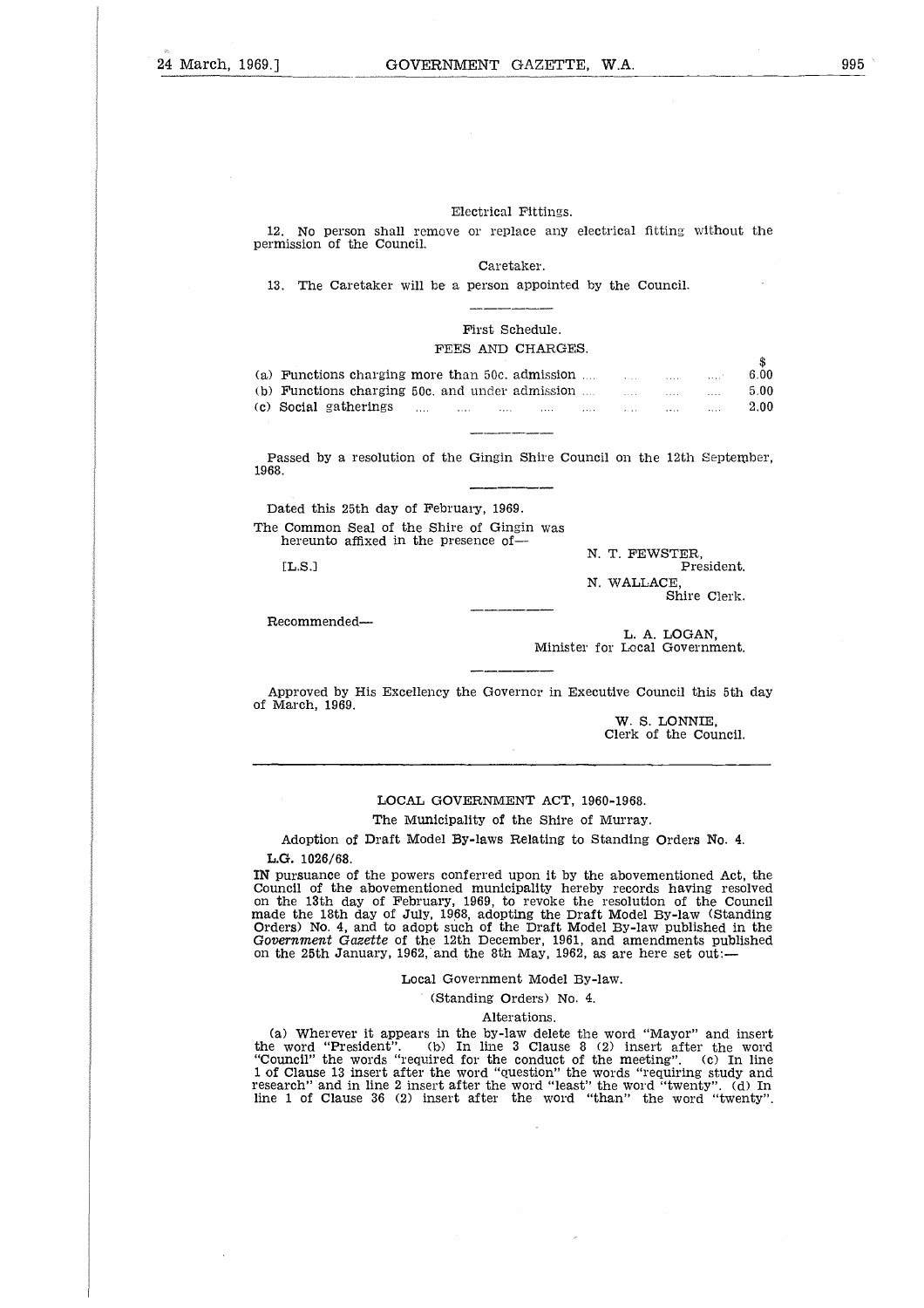#### Electrical Fittings.

#### First Schedule. FEES AND CHARGES.

| Electrical Fittings.                                                                                         |                                        |              |              |
|--------------------------------------------------------------------------------------------------------------|----------------------------------------|--------------|--------------|
| 12. No person shall remove or replace any electrical fitting without the<br>permission of the Council.       |                                        |              |              |
| Caretaker.                                                                                                   |                                        |              |              |
| 13. The Caretaker will be a person appointed by the Council.                                                 |                                        |              |              |
|                                                                                                              |                                        |              |              |
| First Schedule.                                                                                              |                                        |              |              |
| FEES AND CHARGES.                                                                                            |                                        |              |              |
|                                                                                                              |                                        |              | \$           |
| (a) Functions charging more than 50c, admission $\ldots$ $\ldots$ $\ldots$                                   |                                        |              | 6.00         |
| (b) Functions charging 50c, and under admission $\ldots$ $\ldots$ $\ldots$ $\ldots$<br>(c) Social gatherings | المتحدث التبعد المناطق المناطق المتحدث |              | 5.00<br>2.00 |
|                                                                                                              |                                        |              |              |
|                                                                                                              |                                        |              |              |
| Passed by a resolution of the Gingin Shire Council on the 12th September,<br>1968.                           |                                        |              |              |
|                                                                                                              |                                        |              |              |
| Dated this 25th day of February, 1969.                                                                       |                                        |              |              |
| The Common Seal of the Shire of Gingin was<br>hereunto affixed in the presence of—                           |                                        |              |              |
| [ <b>L.S.</b> ]                                                                                              | N. T. FEWSTER.                         | President.   |              |
|                                                                                                              | N. WALLACE.                            |              |              |
|                                                                                                              |                                        | Shire Clerk. |              |
| 77 - - - - - - - - - - - 1 - - 1                                                                             |                                        |              |              |

Recommended

L. A. LOGAN, Minister for Local Government.

Approved by His Excellency the Governer in Executive Council this 5th day of March, 1969.

> W. S. LONNIE, Clerk of the Council.

#### LOCAL GOVERNMENT ACT, 1960-1968.

The Municipality of the Shire of Murray.

Adoption of Draft Model By-laws Relating to Standing Orders No. 4. L.G. 1026/68.

IN pursuance of the powers conferred upon it by the abovementioned Act, the Council of the abovementioned municipality hereby records having resolved on the 13th day of February, 1969, to revoke the resolution of the Council made the 18th day of July, 1968, adopting the Draft Model By-law (Standing Orders) No. 4, and to adopt such of the Draft Model By-law published in the Government *Gazette* of the 12th December, 1961, and amendments published on the 25th January, 1962, and the 8th May, 1962, as are here set out:—

#### Local Government Model By-law.

#### (Standing Orders) No. 4.

Alterations.

(a) Wherever it appears in the by-law delete the word "Mayor" and insert the word "President". (b) In line 3 Clause 8 (2) insert after the word "Council" the words "required for the conduct of the meeting". (c) In line 1 of Clause 13 insert after the word "question" the words "requiring study and research" and in line 2 insert after the word "least" the word "twenty". (d) In line 1 of Clause 36 (2) insert after the word "than" the word "twenty".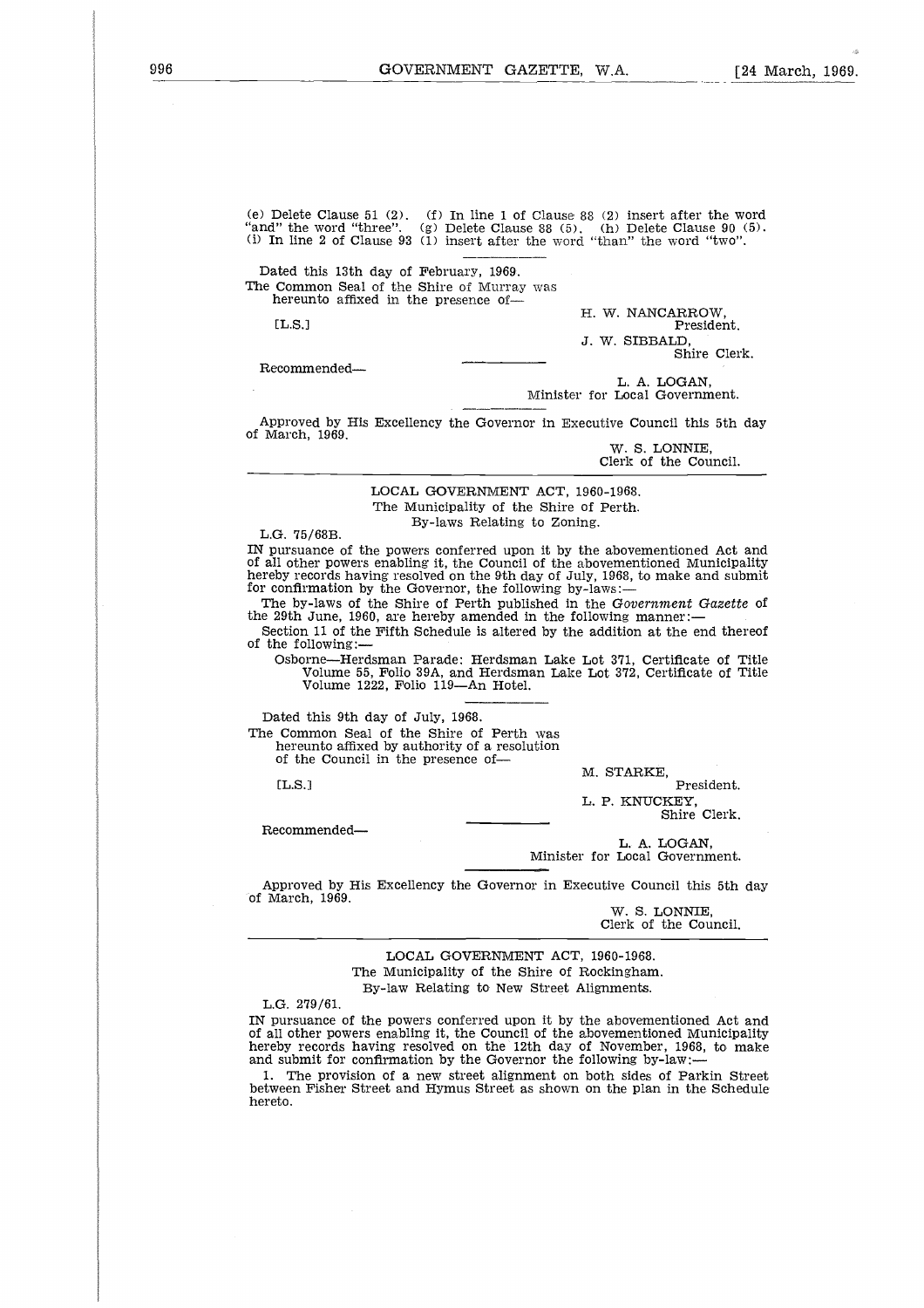(e) Delete Clause 51 (2). (f) In line 1 of Clause 88 (2) insert after the word "and" the word "three". (g) Delete Clause 88 (5). (h) Delete Clause 90 (5). *(i)* In line 2 of Clause 93 (1) insert after the word "than" the word "two".

Dated this 13th day of February, 1969. The Common Seal of the Shire of Murray was hereunto affixed in the presence of-Delete<br>
" the<br>
m line<br>
tted the<br>
Comm<br>
L.S.]<br>
romm

 $IT.S.1$ 

H. W. NANCARROW, President. J. W. SIBBALD, Shire Clerk.

Recommended

L. A. LOGAN, Minister for Local Government.

Approved by His Excellency the Governor in Executive Council this 5th day of March, 1969.

W. S. LONNIE, Clerk of the Council.

LOCAL GOVERNMENT ACT, 1960-1968. The Municipality of the Shire of Perth. By-laws Relating to Zoning.

L.G. 75/68B.

IN pursuance of the powers conferred upon it by the abovementioned Act and of all other powers enabling it, the Council of the abovementioned Municipality hereby records having resolved on the 9th day of July, 1968, to make and submit for confirmation by the Governor, the following by-laws:

The by-laws of the Shire of Perth published in the *Government Gazette* of the 29th June, 1960, are hereby amended in the following manner:

Section 11 of the Fifth Schedule is altered by the addition at the end thereof of the following:-

Osborne—Herdsman Parade: Herdsman Lake Lot 371, Certificate of Title Volume 55, Folio 39A, and Herdsman Lake Lot 372, Certificate of Title Volume 1222, Folio 119—An Hotel. 

Dated this 9th day of July, 1968.

The Common Seal of the Shire of Perth was hereunto affixed by authority of a resolution

of the Council in the presence of-

EL.S.]

M. STARKE,

President. L. P. KNUCKEY, Shire Clerk.

Recommended

L. A. LOGAN, Minister for Local Government.

Approved by His Excellency the Governor in Executive Council this 5th day of March, 1969.

W. S. LONNIE, Clerk of the Council.

LOCAL GOVERNMENT ACT, 1960-1968. The Municipality of the Shire of Rockingham. By-law Relating to New Street Alignments.

L.G. 279/61.

IN pursuance of the powers conferred upon it by the abovementioned Act and of all other powers enabling it, the Council of the abovementioned Municipality hereby records having resolved on the 12th day of November, 1968, to make and submit for confirmation by the Governor the following by-law:-

1. The provision of a new street alignment on both sides of Parkin Street between Fisher Street and Hymus Street as shown on the plan in the Schedule hereto.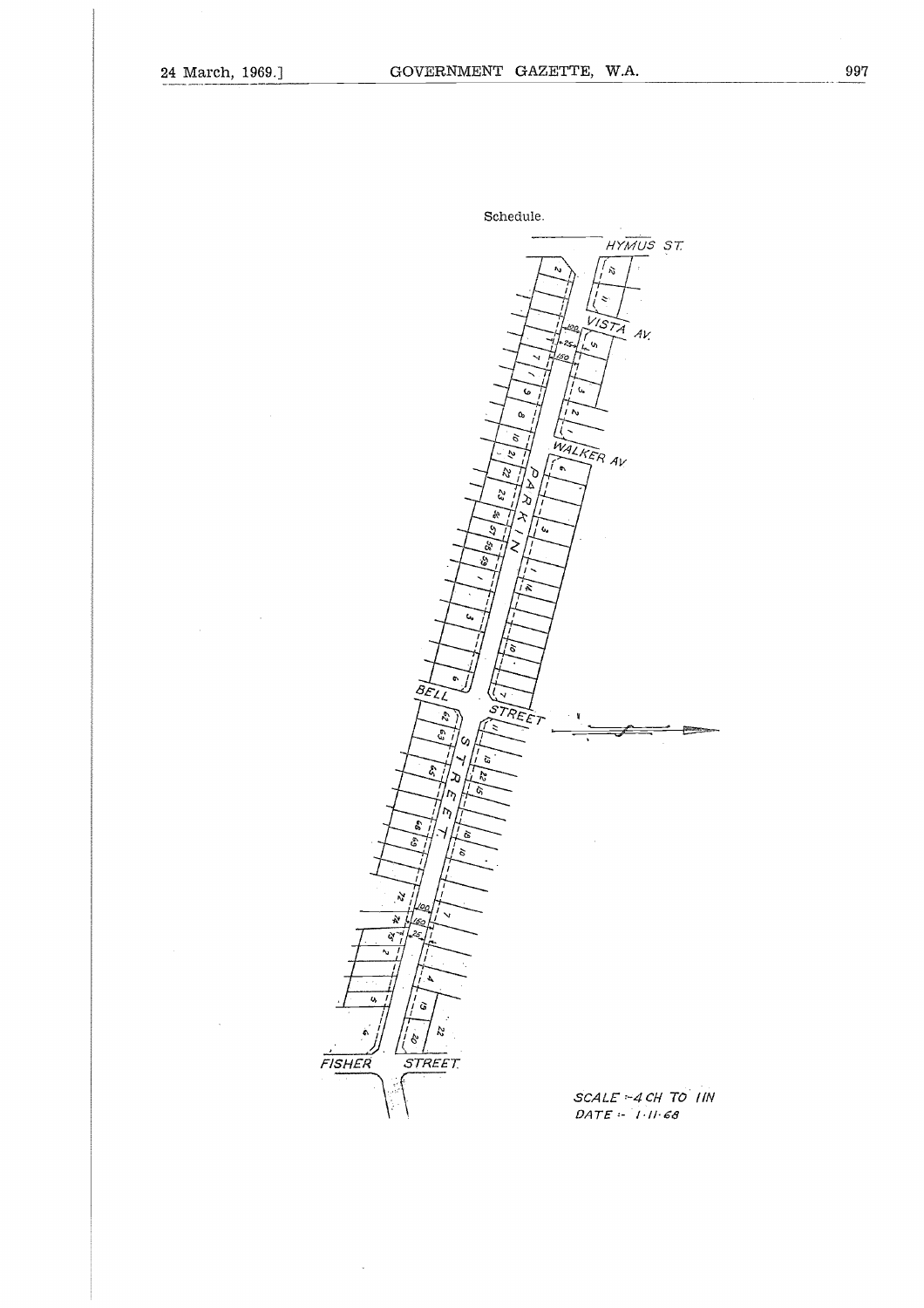÷,

 $\bar{z}$ 

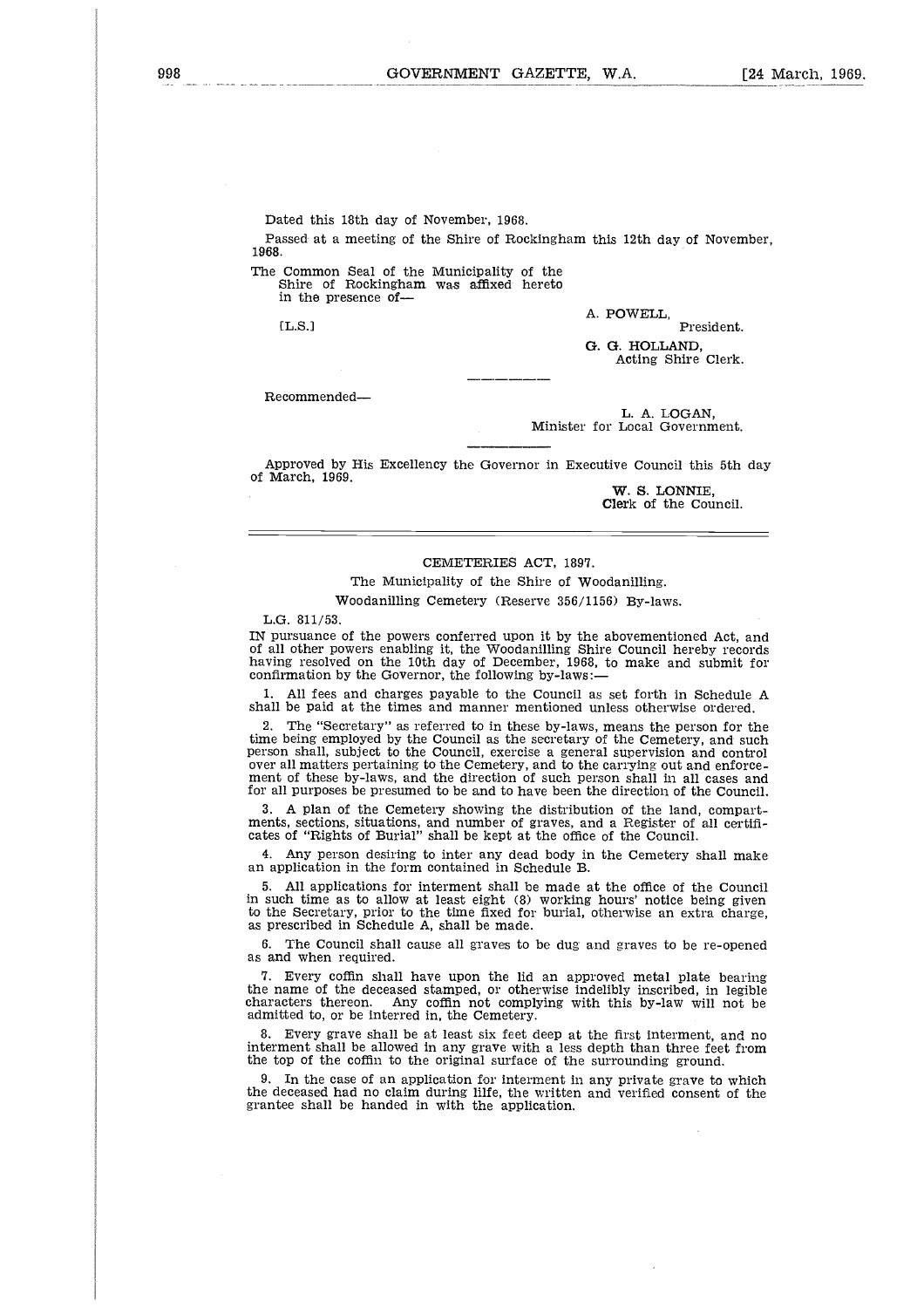Dated this 18th day of November, 1968.

Passed at a meeting of the Shire of Rockingham this 12th day of November, 1968.

The Common Seal of the Municipality of the Shire of Rockingham was affixed hereto in the presence ofd<br>a<br>e

[L.S.1

A. POWELL,

President, **G. O.** HOLLAND, Acting Shire Clerk.

Recommended

L. A. LOGAN, Minister for Local Government.

Approved by His Excellency the Governor in Executive Council this 5th day of March, 1969.

**W. S. LONNIE, Clerk of** the Council.

#### CEMETERIES ACT, 1897.

The Municipality of the Shire of Woodanilling.

Woodanilling Cemetery (Reserve 356/1156) By-laws.

L.G. 811/53.

IN pursuance of the powers conferred upon it by the abovementioned Act, and of all other powers enabling it, the Woodanilling Shire Council hereby records having resolved on the 10th day of December, 1968, to make and submit for confirmation by the Governor, the following by-laws:-

1. All fees and charges payable to the Council as set forth in Schedule A shall be paid at the times and manner mentioned unless otherwise ordered.

2. The "Secretary" as referred to in these by-laws, means the person for the time being employed by the Council as the secretary of the Cemetery, and such person shall, subject to the Council, exercise a general supervision and control over all matters pertaining to the Cemetery, and to the carrying out and enforce-ment of these by-laws, and the direction of such person shall in all cases and for all purposes be presumed to be and to have been the direction of the Council.

3. A plan of the Cemetery showing the distribution of the land, compartments, sections, situations, and number of graves, and a Register of all certificates of "Rights of Burial" shall be kept at the office of the Council.

Any person desiring to inter any dead body in the Cemetery shall make an application in the form contained in Schedule B.

5. All applications for interment shall be made at the office of the Council in such time as to allow at least eight (8) working hours' notice being given to the Secretary, prior to the time fixed for burial, otherwise an extra charge, as prescribed in Schedule A, shall be made.

6. The Council shall cause all graves to be dug and graves to be re-opened as and when required.

7. Every coffin shall have upon the lid an approved metal plate bearing the name of the deceased stamped, or otherwise indelibly inscribed, in legible characters thereon. Any coffin not complying with this by-law will not be admitted to, or be interred in, the Cemetery.

8. Every grave shall be at least six feet deep at the first interment, and no interment shall be allowed in any grave with a less depth than three feet from the top of the coffin to the original surface of the surrounding ground.

In the case of an application for interment in any private grave to which the deceased had no claim during lilfe, the written and verified consent of the grantee shall be handed in with the application.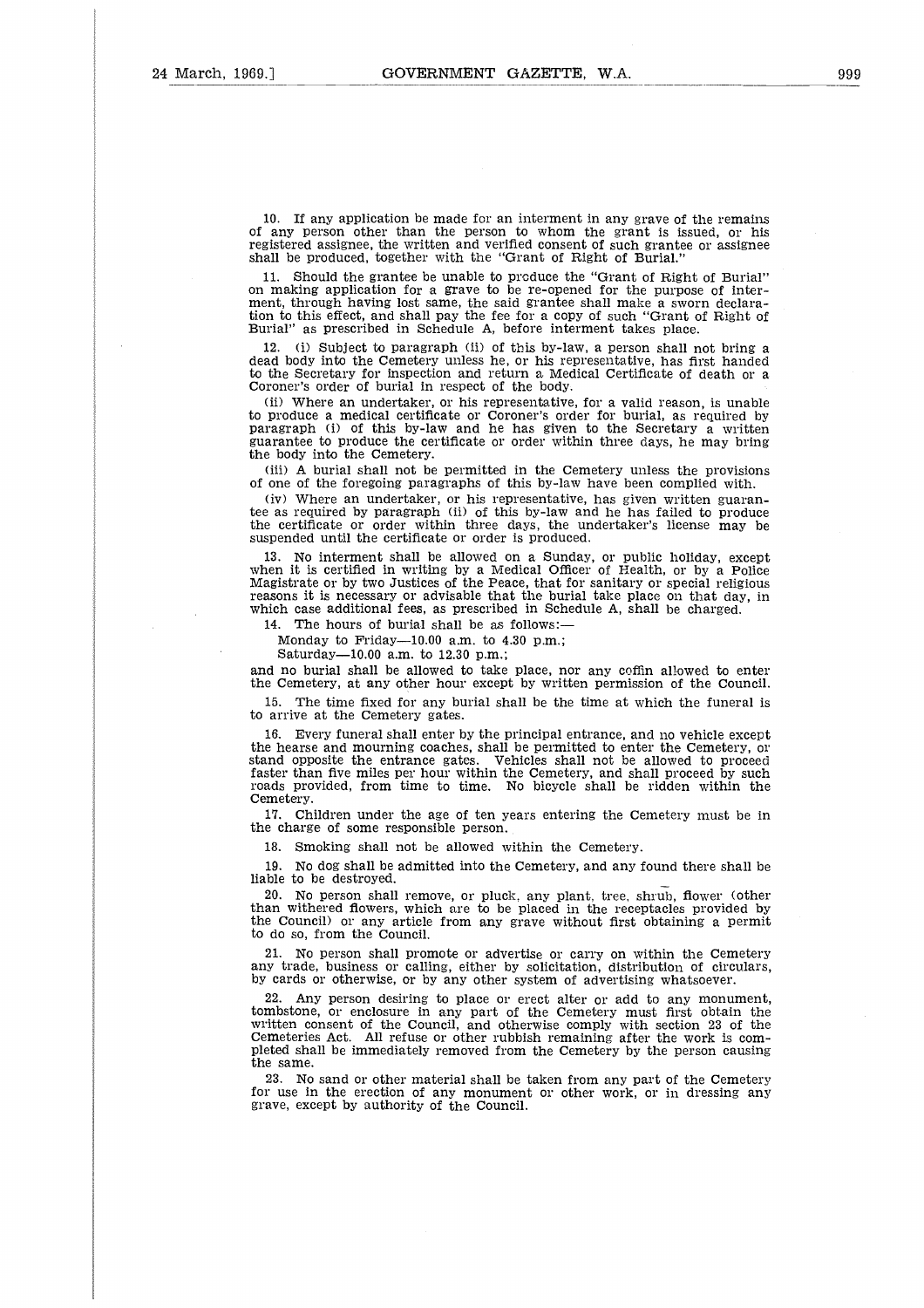10. If any application be made for an interment in any grave of the remains of any person other than the person to whom the grant is issued, or his registered assignee, the written and verified consent of such grantee or assignee shall be produced, together with the "Grant of Right of Burial."

Should the grantee be unable to produce the "Grant of Right of Burial" on making application for a grave **to be** re-opened for the purpose of inter-ment, through having lost same, the said grantee shall make a sworn declaration to this effect, and shall pay the fee for a copy of such "Grant of Right of Burial" as prescribed in Schedule A, before interment takes place.

12. (i) Subject to paragraph (ii) of this by-law, a person shall not bring a dead body into the Cemetery unless he, or his representative, has first handed to the Secretary for inspection and return a Medical Certificate of death or a Coroner's order of burial in respect of the body.

(ii) Where an undertaker, or his representative, for a valid reason, is unable to produce a medical certificate or Coroner's order for burial, as required by paragraph (i) of this by-law and he has given to the Secretary a written guarantee to produce the certificate or order within three days, he may bring the body into the Cemetery.

(iii) A burial shall not be permitted in the Cemetery unless the provisions of one of the foregoing paragraphs of this by-law have been complied with.

(iv) Where an undertaker, or his representative, has given written guarantee as required by paragraph (ii) of this by-law and he has failed to produce the certificate or order within three days, the undertaker's license may be suspended until the certificate or order is produced.

13. No interment shall be allowed on a Sunday, or public holiday, except when it is certified in writing by a Medical Officer of Health, or by a Police Magistrate or by two Justices of the Peace, that for sanitary or special religious reasons it is necessary or advisable that the burial take place on that day, in which case additional fees, as prescribed in Schedule A, shall be charged.

14. The hours of burial shall be as follows:

Monday to Friday- $10.00$  a.m. to  $4.30$  p.m.;

Saturday-10.00 a.m. to 12.30 p.m.;

and no burial shall be allowed to take place, nor any coffin allowed to enter the Cemetery, at any other hour except by written permission of the Council.

15. The time fixed for any burial shall be the time at which the funeral is to arrive at the Cemetery gates.

16. Every funeral shall enter by the principal entrance, and no vehicle except the hearse and mourning coaches, shall be permitted to enter the Cemetery, or stand opposite the entrance gates. Vehicles shall not be allowed to proceed faster than five miles per hour within the Cemetery, and shall proceed by such roads provided, from time to time. No bicycle shall be ridden within the Cemetery.

17. Children under the age of ten years entering the Cemetery must be in the charge of some responsible person.

18. Smoking shall not be allowed within the Cemetery.

19. No dog shall be admitted into the Cemetery, and any found there shall be liable to be destroyed.

20. No person shall remove, or pluck, any plant, tree, shrub, flower (other than withered flowers, which are to be placed in the receptacles provided by the Council) or any article from any grave without first obtaining a permit to do so, from the Council.

21. No person shall promote or advertise or carry on within the Cemetery any trade, business or calling, either by solicitation, distribution of circulars, by cards or otherwise, or by any other system of advertising whatsoever.

22. Any person desiring to place or erect alter or add to any monument, tombstone, or enclosure in any part of the Cemetery must first obtain the written consent of the Council, and otherwise comply with section 23 of the Cemeteries Act. All refuse or other rubbish remaining after the work is completed shall be immediately removed from the Cemetery by the person causing the same.

23. No sand or other material shall be taken from any part of the Cemetery for use in the erection of any monument or other work, or in dressing any grave, except by authority of the Council.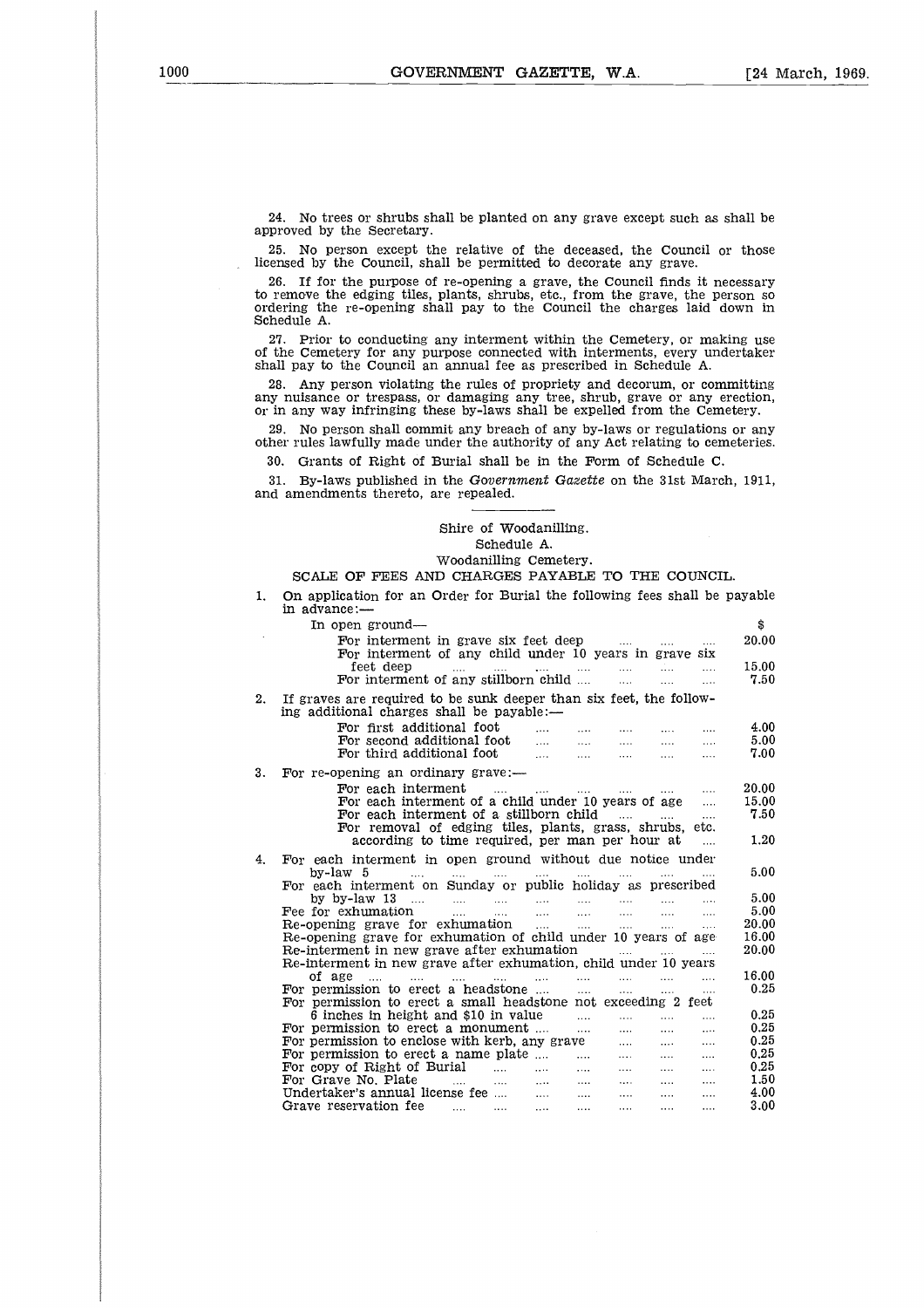24. No trees or shrubs shall be planted on any grave except such as shall be approved by the Secretary.

25. No person except the relative of the deceased, the Council or those licensed by the Council, shall be permitted to decorate any grave.

26. If for the purpose of re-opening a grave, the Council finds it necessary to remove the edging tiles, plants, shrubs, etc., from the grave, the person so ordering the re-opening shall pay to the Council the charges laid down in Schedule A.

27. Prior to conducting any interment within the Cemetery, or making use of the Cemetery for any purpose connected with interments, every undertaker shall pay to the Council an annual fee as prescribed in Schedule A.

28. Any person violating the rules of propriety and decorum, or committing any nuisance or trespass, or damaging any tree, shrub, grave or any erection, or in any way infringing these by-laws shall be expelled from the Cemetery.

29. No person shall commit any breach of any by-laws or regulations or any other rules lawfully made under the authority of any Act relating to cemeteries.

#### Shire of Woodanilling. Schedule A.

|     | 23. The person shah common any breach of any by-laws of regulations of any<br>other rules lawfully made under the authority of any Act relating to cemeteries.                                                                                                                                                                                                                                                                                                                                                                                                                                                        |                |
|-----|-----------------------------------------------------------------------------------------------------------------------------------------------------------------------------------------------------------------------------------------------------------------------------------------------------------------------------------------------------------------------------------------------------------------------------------------------------------------------------------------------------------------------------------------------------------------------------------------------------------------------|----------------|
| 30. | Grants of Right of Burial shall be in the Form of Schedule C.                                                                                                                                                                                                                                                                                                                                                                                                                                                                                                                                                         |                |
| 31. | By-laws published in the Government Gazette on the 31st March, 1911,<br>and amendments thereto, are repealed.                                                                                                                                                                                                                                                                                                                                                                                                                                                                                                         |                |
|     |                                                                                                                                                                                                                                                                                                                                                                                                                                                                                                                                                                                                                       |                |
|     | Shire of Woodanilling.<br>Schedule A.                                                                                                                                                                                                                                                                                                                                                                                                                                                                                                                                                                                 |                |
|     | Woodanilling Cemetery.<br>SCALE OF FEES AND CHARGES PAYABLE TO THE COUNCIL.                                                                                                                                                                                                                                                                                                                                                                                                                                                                                                                                           |                |
| 1.  | On application for an Order for Burial the following fees shall be payable<br>in advance:-                                                                                                                                                                                                                                                                                                                                                                                                                                                                                                                            |                |
|     | In open ground—                                                                                                                                                                                                                                                                                                                                                                                                                                                                                                                                                                                                       | \$             |
|     | For interment in grave six feet deep<br>$\cdots$<br>For interment of any child under 10 years in grave six                                                                                                                                                                                                                                                                                                                                                                                                                                                                                                            | 20.00          |
|     | feet deep<br>المسادات سندي إيوست الم <u>سير</u> ة المسايرة<br>$\cdots$                                                                                                                                                                                                                                                                                                                                                                                                                                                                                                                                                | 15.00          |
|     | For interment of any stillborn child<br>$\sim$ 1000 $\sim$<br>$\cdots$<br>$\cdots$                                                                                                                                                                                                                                                                                                                                                                                                                                                                                                                                    | 7.50           |
| 2.  | If graves are required to be sunk deeper than six feet, the follow-<br>ing additional charges shall be payable:—                                                                                                                                                                                                                                                                                                                                                                                                                                                                                                      |                |
|     | For first additional foot<br>$\sim$<br>$\cdots$<br>$\mathbf{r}$<br>$\cdots$<br>$\cdots$                                                                                                                                                                                                                                                                                                                                                                                                                                                                                                                               | 4.00           |
|     | For second additional foot<br>$\begin{aligned} \frac{\partial \mathbf{u}}{\partial \mathbf{u}}_{\mathbf{u}} & = & \frac{\partial \mathbf{u}}{\partial \mathbf{u}}_{\mathbf{u}} \\ \frac{\partial \mathbf{u}}{\partial \mathbf{u}}_{\mathbf{u}} & = & \frac{\partial \mathbf{u}}{\partial \mathbf{u}}_{\mathbf{u}} \\ \frac{\partial \mathbf{u}}{\partial \mathbf{u}}_{\mathbf{u}} & = & \frac{\partial \mathbf{u}}{\partial \mathbf{u}}_{\mathbf{u}} \\ \frac{\partial \mathbf{u}}{\partial \mathbf{u}}_{\mathbf{u}} & = & \frac{\partial \mathbf{u}}{\partial \mathbf{u}}_{\mathbf{u}}$<br>$\cdots$<br>$\cdots$<br>. | 5.00           |
|     | For third additional foot<br>and the<br>$\cdots$<br>$\mathbf{1}$                                                                                                                                                                                                                                                                                                                                                                                                                                                                                                                                                      | 7.00           |
| 3.  | For re-opening an ordinary grave:-                                                                                                                                                                                                                                                                                                                                                                                                                                                                                                                                                                                    |                |
|     | For each interment<br><b>Contractor</b><br>and the state of the state of<br><b>Contract</b><br><b>Contract</b><br>$\sim 100$                                                                                                                                                                                                                                                                                                                                                                                                                                                                                          | 20.00          |
|     | For each interment of a child under 10 years of age<br>$\ldots$<br>For each interment of a stillborn child<br>$\sim 100$                                                                                                                                                                                                                                                                                                                                                                                                                                                                                              | 15.00<br>7.50  |
|     | For removal of edging tiles, plants, grass, shrubs, etc.                                                                                                                                                                                                                                                                                                                                                                                                                                                                                                                                                              |                |
|     | according to time required, per man per hour at<br>$\ldots$                                                                                                                                                                                                                                                                                                                                                                                                                                                                                                                                                           | 1.20           |
| 4.  | For each interment in open ground without due notice under                                                                                                                                                                                                                                                                                                                                                                                                                                                                                                                                                            |                |
|     | by-law 5<br><b>Contractor</b><br>and the second contract of the second contract of<br><b>Contact Contact</b><br>For each interment on Sunday or public holiday as prescribed                                                                                                                                                                                                                                                                                                                                                                                                                                          | 5.00           |
|     | $\ldots$<br>$\cdots$                                                                                                                                                                                                                                                                                                                                                                                                                                                                                                                                                                                                  | 5.00           |
|     | <b>County</b><br>$\cdots$<br>$\cdots$<br>                                                                                                                                                                                                                                                                                                                                                                                                                                                                                                                                                                             | 5.00           |
|     | $\cdots$<br>$\ldots$<br>$\mathbf{r}$<br>$\mathbf{1}$<br>Re-opening grave for exhumation of child under 10 years of age                                                                                                                                                                                                                                                                                                                                                                                                                                                                                                | 20.00<br>16.00 |
|     | Re-interment in new grave after exhumation<br>المتناد المتقربات المتمارك                                                                                                                                                                                                                                                                                                                                                                                                                                                                                                                                              | 20.00          |
|     | Re-interment in new grave after exhumation, child under 10 years                                                                                                                                                                                                                                                                                                                                                                                                                                                                                                                                                      |                |
|     | of age<br>$\cdots$<br>$\cdots$<br>$\cdots$<br>and the company of the company of<br>$\cdots$<br>For permission to erect a headstone<br>$\sim 100$<br>$\sim 100$<br>.                                                                                                                                                                                                                                                                                                                                                                                                                                                   | 16.00<br>0.25  |
|     | For permission to erect a small headstone not exceeding 2 feet                                                                                                                                                                                                                                                                                                                                                                                                                                                                                                                                                        |                |
|     | 6 inches in height and \$10 in value<br>$\mathbf{r}$<br>$\cdots$<br>$\cdots$<br>$\cdots$                                                                                                                                                                                                                                                                                                                                                                                                                                                                                                                              | 0.25           |
|     | For permission to erect a monument<br>$\cdots$<br>$\cdots$<br>$\cdots$<br>$\cdots$                                                                                                                                                                                                                                                                                                                                                                                                                                                                                                                                    | 0.25<br>0.25   |
|     | For permission to enclose with kerb, any grave<br>$\mathbf{1}$<br>$\sim 10^{-11}$<br>$\cdots$<br>For permission to erect a name plate<br>$\ldots$<br>$\sim 1000$ km $^{-1}$<br>$\cdots$                                                                                                                                                                                                                                                                                                                                                                                                                               | 0.25           |
|     | For copy of Right of Burial<br><b>Contract</b><br><b>Contractor</b><br>$\sim 100$<br>$\cdots$<br>$\ldots$ .                                                                                                                                                                                                                                                                                                                                                                                                                                                                                                           | 0.25           |
|     | For Grave No. Plate<br>and the company of the company of<br>$\sim 100$ km $^{-1}$<br><b>Sales</b><br><b>Sales Co.</b><br>$\sim 100$                                                                                                                                                                                                                                                                                                                                                                                                                                                                                   | 1.50           |
|     | Undertaker's annual license fee<br>Grave reservation fee<br>$\frac{1}{2} \frac{1}{2} \frac{1}{2} \frac{1}{2} \frac{1}{2} \frac{1}{2} \frac{1}{2} \frac{1}{2} \frac{1}{2} \frac{1}{2} \frac{1}{2} \frac{1}{2} \frac{1}{2} \frac{1}{2} \frac{1}{2} \frac{1}{2} \frac{1}{2} \frac{1}{2} \frac{1}{2} \frac{1}{2} \frac{1}{2} \frac{1}{2} \frac{1}{2} \frac{1}{2} \frac{1}{2} \frac{1}{2} \frac{1}{2} \frac{1}{2} \frac{1}{2} \frac{1}{2} \frac{1}{2} \frac{$<br><b>Service</b> Contractor<br>$\ddotsc$<br><b>Contract</b><br>$\cdots$                                                                                     | 4.00<br>3.00   |
|     |                                                                                                                                                                                                                                                                                                                                                                                                                                                                                                                                                                                                                       |                |
|     |                                                                                                                                                                                                                                                                                                                                                                                                                                                                                                                                                                                                                       |                |
|     |                                                                                                                                                                                                                                                                                                                                                                                                                                                                                                                                                                                                                       |                |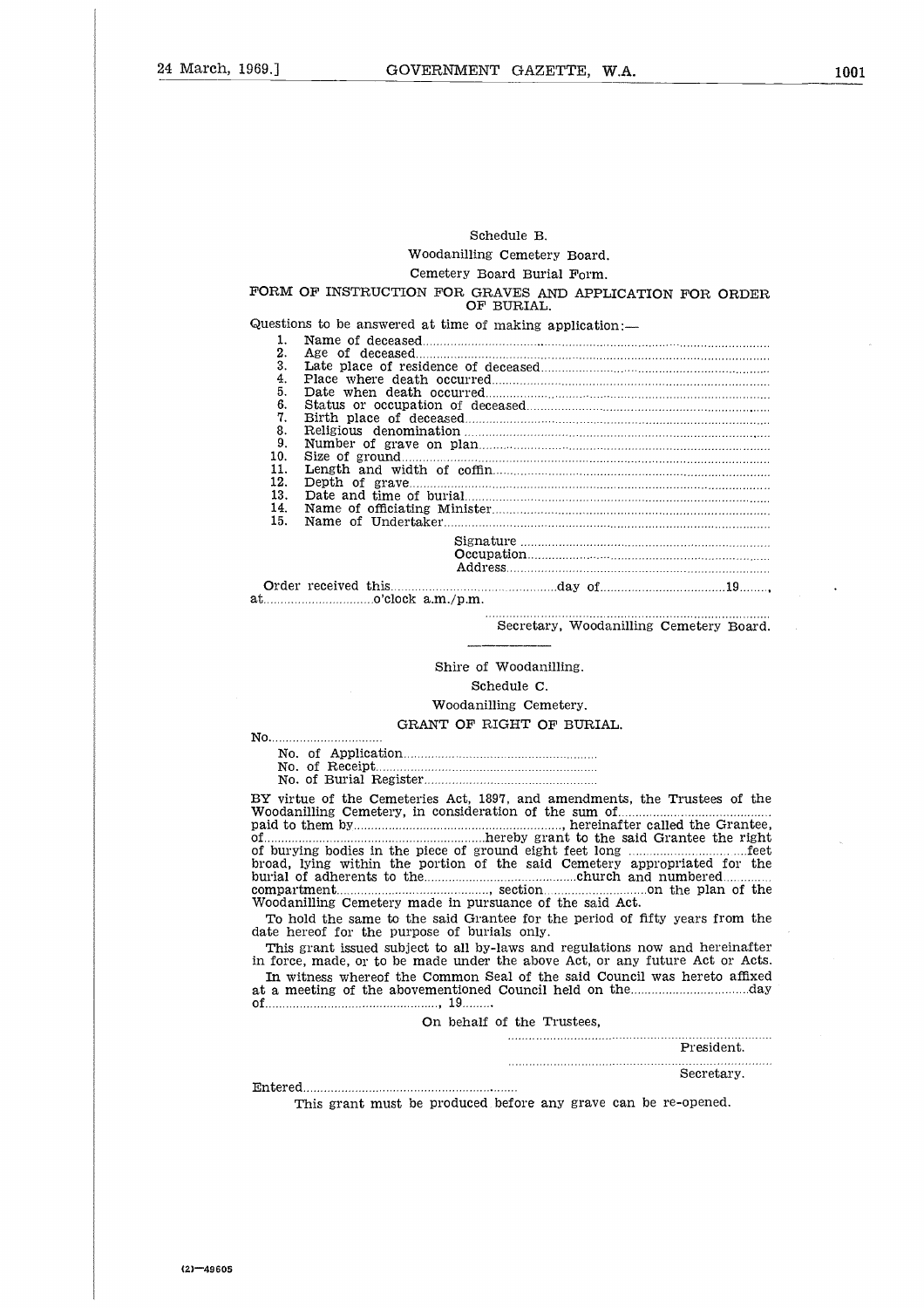#### Schedule B.

#### FORM OF INSTRUCTION FOR GRAVES AND APPLICATION FOR ORDER OF BURIAL.

| Schedule B.                                                                                                                   |  |
|-------------------------------------------------------------------------------------------------------------------------------|--|
| Woodanilling Cemetery Board.                                                                                                  |  |
| Cemetery Board Burial Form.                                                                                                   |  |
| DRM OF INSTRUCTION FOR GRAVES AND APPLICATION FOR ORDER<br>OF BURIAL.                                                         |  |
| restions to be answered at time of making application:-                                                                       |  |
| 1.                                                                                                                            |  |
| 2.<br>3.                                                                                                                      |  |
| 4.                                                                                                                            |  |
| 5.                                                                                                                            |  |
| 6.                                                                                                                            |  |
| 7.<br>8.                                                                                                                      |  |
| 9.                                                                                                                            |  |
| 10.                                                                                                                           |  |
| 11.<br>12.                                                                                                                    |  |
| 13.                                                                                                                           |  |
| 14.                                                                                                                           |  |
| 15.                                                                                                                           |  |
|                                                                                                                               |  |
|                                                                                                                               |  |
|                                                                                                                               |  |
| $\ldots$ $\ldots$ $\ldots$ $\ldots$ $\ldots$ $\ldots$ $\ldots$ $\ldots$ $\ldots$ $\ldots$ $\ldots$ $\ldots$ $\ldots$ $\ldots$ |  |
| Secretary, Woodanilling Cemetery Board.                                                                                       |  |
|                                                                                                                               |  |
|                                                                                                                               |  |
| Shire of Woodanilling.                                                                                                        |  |
| Schedule C.                                                                                                                   |  |
| Woodanilling Cemetery.                                                                                                        |  |
| GRANT OF RIGHT OF BURIAL.                                                                                                     |  |
|                                                                                                                               |  |
|                                                                                                                               |  |
|                                                                                                                               |  |

at Order received this o'clock a.m./p.m.

### Woodanilling Cemetery.

#### GRANT OF RIGHT OF BURIAL.

No No. of Receipt No. of Application No. of Burial Register าม<br>)'<br>:<br>: :<br>:€<br>: t  $\begin{bmatrix} 1 \\ 2 \end{bmatrix}$ <br>: :<br>: :<br>: : ...<br>a<br>...<br>...

BY virtue of the Cemeteries Act, 1897, and amendments, the Trustees of the Woodanilling Cemetery, in consideration of the sum of paid to them by , hereinafter called the Grantee, No.<br>BY<br>Woo<br>pai<br>of bro<br>bur  $\begin{array}{ll} \dots \\ \text{left} \\ \text{left} \\ \text{right} \\ \dots \\ \text{right} \\ \text{right} \\ \text{right} \\ \text{right} \\ \text{right} \\ \text{right} \\ \text{right} \\ \text{right} \\ \text{right} \\ \text{right} \\ \text{right} \\ \text{right} \\ \text{right} \\ \text{right} \\ \text{right} \\ \text{right} \\ \text{right} \\ \text{right} \\ \text{right} \\ \text{right} \\ \text{right} \\ \text{right} \\ \text{right} \\ \text{right} \\ \text{right} \\ \text{right} \\ \text{right} \\ \text{right} \\ \text{right} \\ \text{right} \\ \text{right} \\ \text{$ hereby grant to the said Grantee the right  $\frac{1}{11}$ <br> $\frac{1}{11}$ <br> $\frac{1}{11}$ <br> $\frac{1}{11}$ <br> $\frac{1}{11}$ of burying bodies in the piece of ground eight feet long feet broad, lying within the portion of the said Cemetery appropriated for the burial of adherents to the compartment Woodanilling Cemetery made in pursuance of the said Act. lling Cem<br>
IIGHT OI<br>
SURFAT OI<br>
SURFAT And a<br>
section<br>
Internation<br>
Surfate Said Surfate<br>
Surfate for the Said Oily.<br>
Section<br>
Surfate for the Said Oily. church and numbered .....on the plan of the  $\begin{bmatrix} 1 \\ 1 \\ 2 \\ 3 \\ 4 \end{bmatrix}$ at a meeting of the abovementioned Council held on the day Wo<br>paid...<br>of Ibro<br>bbur<br>com Tat In I<br>dat in Itatiof... , 19 

| Woodanilling Cemetery made in pursuance of the said Act.                                                                                                      |
|---------------------------------------------------------------------------------------------------------------------------------------------------------------|
| To hold the same to the said Grantee for the period of fifty years from the<br>date hereof for the purpose of burials only.                                   |
| This grant issued subject to all by-laws and regulations now and hereinafter<br>in force, made, or to be made under the above Act, or any future Act or Acts. |
| In witness whereof the Common Seal of the said Council was hereto affixed                                                                                     |
| On behalf of the Trustees.                                                                                                                                    |
| President.                                                                                                                                                    |
| Secretary.                                                                                                                                                    |
| This grant must be produced before any grave can be re-opened.                                                                                                |
|                                                                                                                                                               |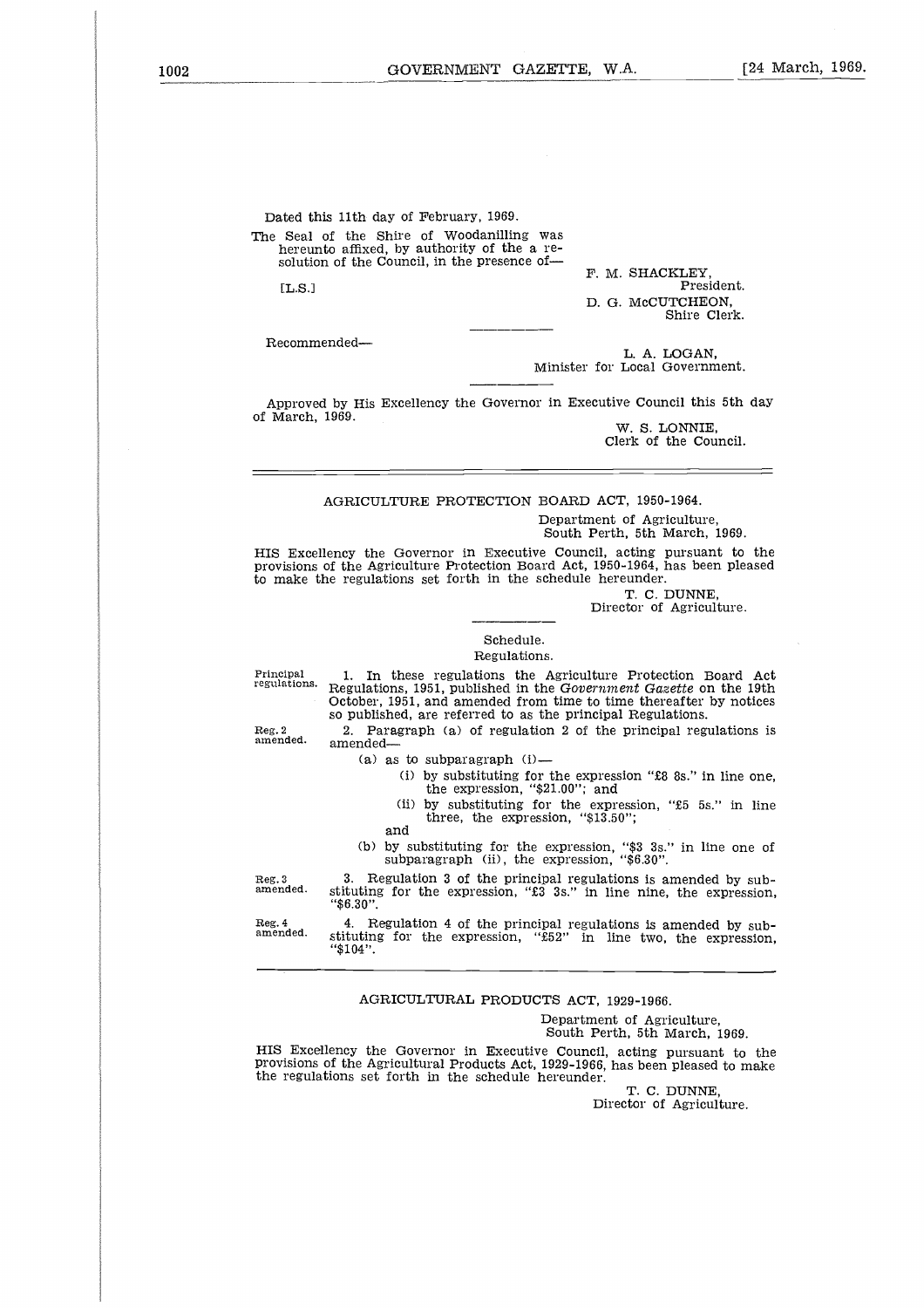Dated this 11th day of February, 1969. The Seal of the Shire of Woodanilling was hereunto affixed, by authority of the a resolution of the Council, in the presence of-F. M. SHACKLEY, [L.S.] h<br>n<br>o President. D. G. McCUTCHEON, Shire Clerk.

Recommended

L. A. LOGAN, Minister for Local Government.

Approved by His Excellency the Governor in Executive Council this 5th day of March, 1969.

W. S. LONNIE, Clerk of the Council.

#### AGRICULTURE PROTECTION BOARD ACT, 1950-1964.

Department of Agriculture, South Perth, 5th March, 1969.

HIS Excellency the Governor in Executive Council, acting pursuant to the provisions of the Agriculture Protection Board Act, 1950-1964, has been pleased to make the regulations set forth in the schedule hereunder.

T. C. DUNNE

Director of Agriculture.

#### Schedule.

#### Regulations.

Principal regulations.

1. In these regulations the Agriculture Protection Board Act Regulations, 1951, published in the *Government Gazette* on the 19th October, 1951, and amended from time to time thereafter by notices so published, are referred to as the principal Regulations.

2. Paragraph (a) of regulation 2 of the principal regulations is amended

- $(a)$  as to subparagraph  $(i)$ -
	- (i) by substituting for the expression "£8 8s." in line one, the expression, "\$21.00"; and
	- (ii) by substituting for the expression, "£5 5s." in line three, the expression, "\$13.50";
	- and
- (b) by substituting for the expression, "\$3 3s." in line one of subparagraph (ii), the expression, "\$6.30".

3. Regulation 3 of the principal regulations is amended by substituting for the expression, "£3 3s." in line nine, the expression, "\$6.30". Reg. 3 amended.

4. Regulation 4 of the principal regulations *is* amended by sub-stituting for the expression, "£52" in line two, the expression, "\$104". Reg. 4 amended.

#### AGRICULTURAL PRODUCTS ACT, 1929-1966.

Department of Agriculture, South Perth, 5th March, 1969.

HIS Excellency the Governor in Executive Council, acting pursuant to the provisions of the Agricultural Products Act, 1929-1966, has been pleased to make the regulations set forth in the schedule hereunder.

T. C. DUNNE, Director of Agriculture.

Reg. 2 amended.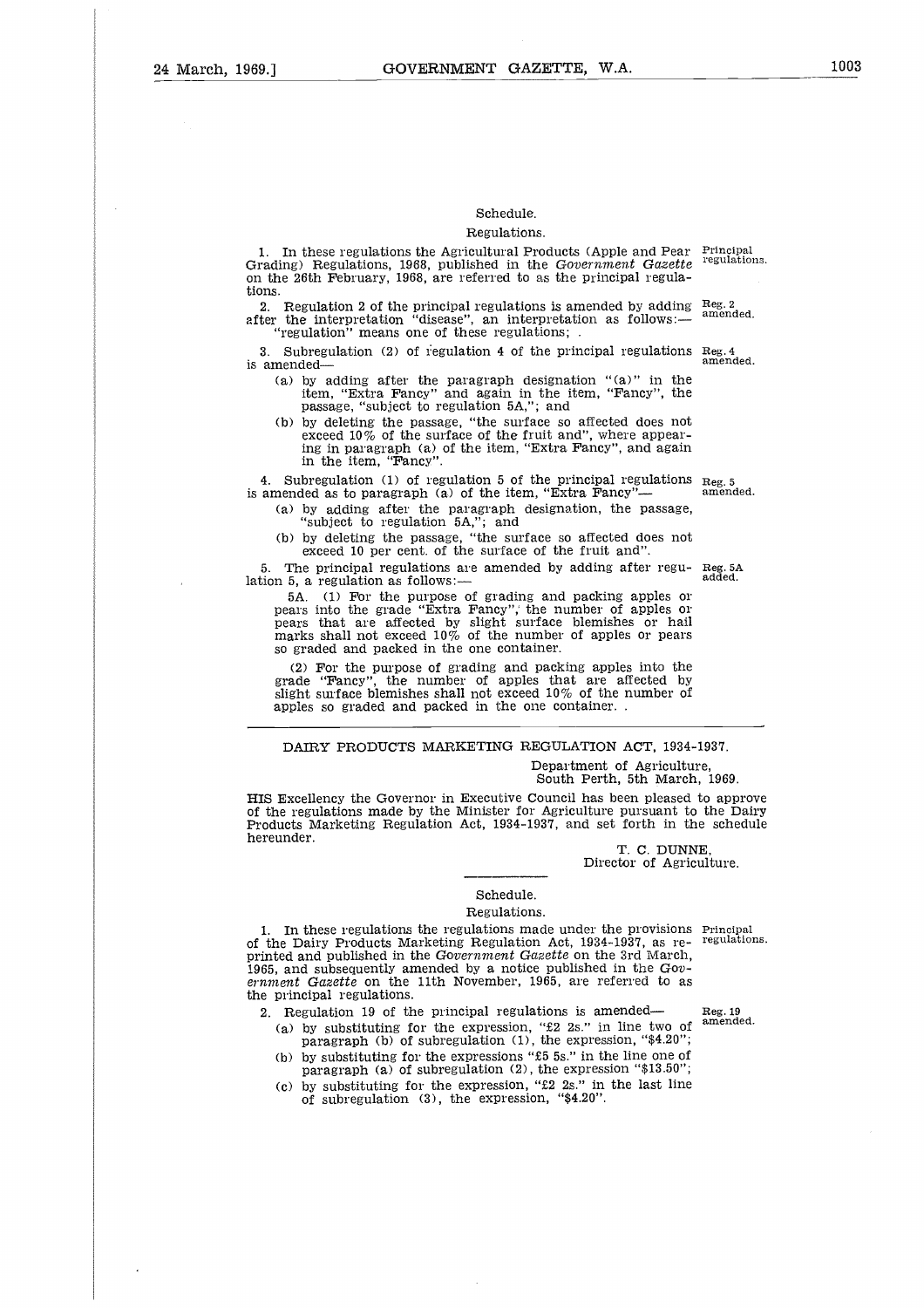#### Schedule.

#### Regulations.

1. In these regulations the Agricultural Products (Apple and Pear Principal Grading) Regulations, 1968, published in the *Government Gazette* on the 26th February, 1968, are referred to as the principal regulations. regulations.

2. Regulation 2 of the principal regulations is amended by adding after the interpretation "disease", an interpretation as follows:— "regulation" means one of these regulations; . Reg. 2 amended.

3. Subregulation (2) of regulation 4 of the principal regulations  $\text{Reg. 4}$  amended. is amended

- (a) by adding after the paragraph designation "(a)" in the item, "Extra Fancy" and again in the item, "Fancy", the passage, "subject to regulation 5A,"; and
- (b) by deleting the passage, "the surface so affected does not exceed 10% of the surface of the fruit and", where appearing in paragraph (a) of the item, "Extra Fancy", and again in the item, "Fancy".

4. Subregulation (1) of regulation 5 of the principal regulations 4. Subregulation (1) of regulation 5 of the principal regulations  $_{\text{Reg. 5}}$  is amended as to paragraph (a) of the item, "Extra Fancy"— amended.

(a) by adding after the paragraph designation, the passage "subject to regulation 5A,"; and (b) by deleting the passage, "the surface so affected does not

exceed 10 per cent. of the surface of the fruit and".

The principal regulations are amended by adding after regulation 5, a regulation as follows:-

5A. (1) For the purpose of grading and packing apples or pears into the grade "Extra Fancy"; the number of apples or pears that are affected by slight surface blemishes or hail marks shall not exceed 10% of the number of apples or pears so graded and packed in the one container.

(2) For the purpose of grading and packing apples into the grade "Fancy", the number of apples that are affected by slight surface blemishes shall not exceed  $10\%$  of the number of apples so graded and packed in the one container..

#### DAIRY PRODUCTS MARKETING REGULATION ACT, 1934-1937.

Department of Agriculture, South Perth, 5th March, 1969.

HIS Excellency the Governor in Executive Council has been pleased to approve of the regulations made by the Minister for Agriculture pursuant to the Dairy Products Marketing Regulation Act, 1934-1937, and set forth in the schedule hereunder.

T. C. DUNNE Director of Agriculture.

## Schedule.

#### Regulations.

1. In these regulations the regulations made under the provisions Principal the Deiry Products Marketing Regulation Act  $1934-1937$  as re- regulations. of the Dairy Products Marketing Regulation Act, 1934-1937, as reprinted and published in the *Government Gazette* on the 3rd March, 1965, and subsequently amended by a notice published in the  $Gov$ ernment *Gazette* on the 11th November, 1965, are referred to as the principal regulations.

- 2. Regulation 19 of the principal regulations is amended— Reg. 19 (a) by substituting for the expression, " $2$  2s." in line two of <sup>amended</sup> paragraph (b) of subregulation (1), the expression, " $4.20$ ";
	- (b) by substituting for the expressions "£5 5s." in the line one of paragraph (a) of subregulation (2), the expression "\$13.50";
	- (c) by substituting for the expression, "E2 2s." in the last line of subregulation (3), the expression, "\$4.20".

Reg. 5A added.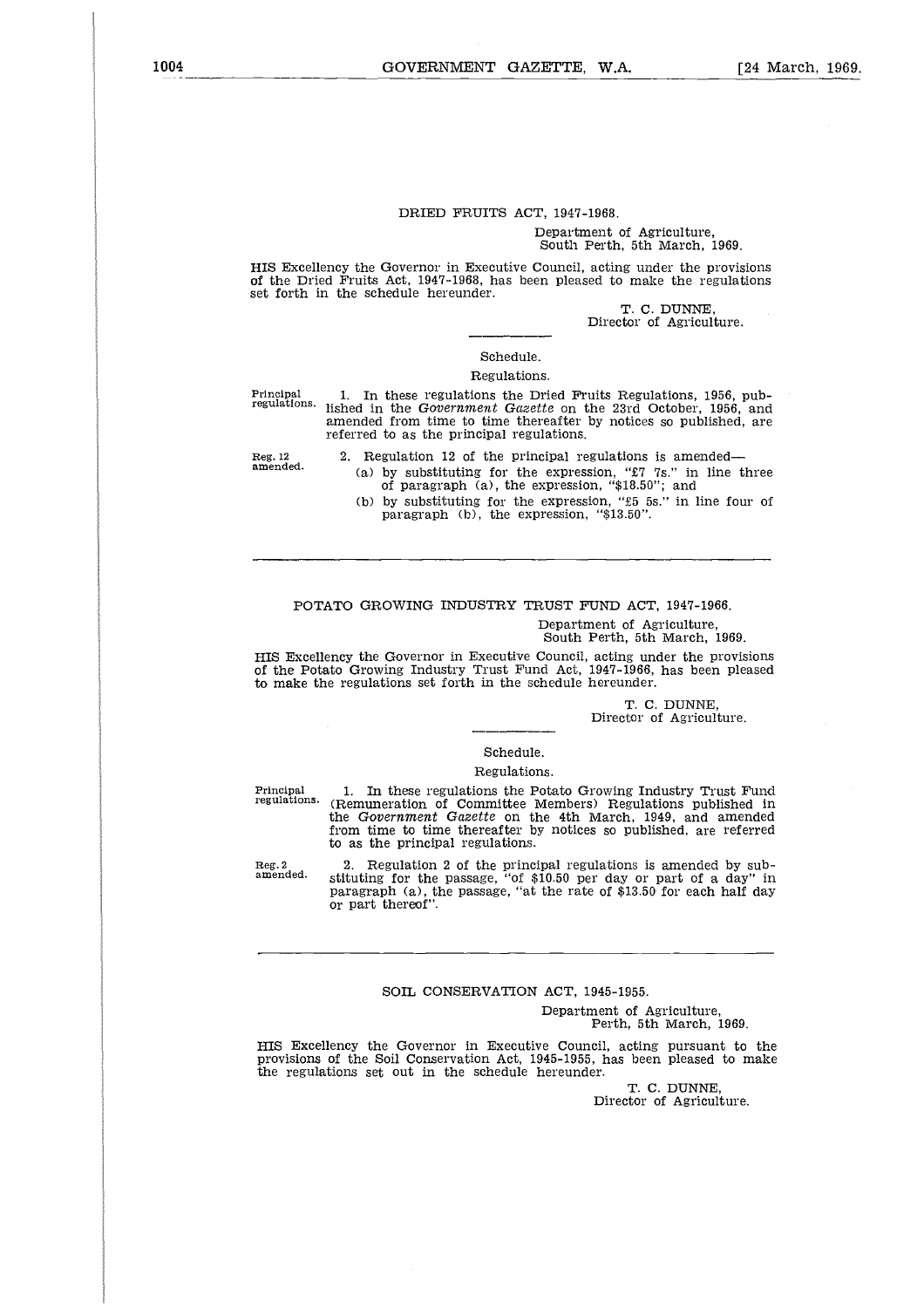#### DRIED FRUITS ACT, 1947-1968.

#### Department of Agriculture, South Perth, 5th March, 1969.

HIS Excellency the Governor in Executive Council, acting under the provisions of the Dried Fruits Act, 1947-1968, has been pleased to make the regulations set forth in the schedule hereunder.

> T. C. DUNNE, Director of Agriculture.

#### Schedule.

#### Regulations.

Principal 1. In these regulations the Dried Fruits Regulations, 1956, pub-<br>regulations, lished in the Covernment Gazette on the 22rd October, 1956, and lished in the *Government Gazette* on the 23rd October, 1956, and amended from time to time thereafter by notices so published, are referred to as the principal regulations.

2. Regulation 12 of the principal regulations is amended

- (a) by substituting for the expression, "£7 7s." in line three of paragraph (a), the expression, "\$18.50"; and
- (b) by substituting for the expression, "£5 5s." in line four of paragraph (b), the expression, "\$13.50".

#### POTATO GROWING INDUSTRY TRUST FUND ACT, 1947-1966.

Department of Agriculture,

South Perth, 5th March, 1969.

HIS Excellency the Governor in Executive Council, acting under the provisions of the Potato Growing Industry Trust Fund Act, 1947-1966, has been pleased to make the regulations set forth in the schedule hereunder.

T. C. DUNNE,

Director of Agriculture.

#### Schedule.

#### Regulations.

Department of Agriculture,<br>
South Perth, 5th March, 1969.<br>
Department of Agriculture, and Ferth, 5th March, 1969.<br>
Director Growing Industry Trust Fund Act, 1947-1966, has been pleased<br>
to make the regulations set forth in regulations. (Remuneration of Committee Members) Regulations published in the *Government Gazette* on the 4th March, 1949, and amended from time to time thereafter by notices so published, are referred to as the principal regulations.

2. Regulation 2 of the principal regulations is amended by substituting for the passage, "of \$10.50 per day or part of a day" in paragraph (a), the passage, "at the rate of \$13.50 for each half day or part thereof". Reg. 2 amended.

#### SOIL CONSERVATION ACT, 1945-1955.

Department of Agriculture, Perth, 5th March, 1969.

HIS Excellency the Governor in Executive Council, acting pursuant to the provisions of the Soil Conservation Act, 1945-1955, has been pleased to make the regulations set out in the schedule hereunder.

> T. C. DUNNE, Director of Agriculture.

Reg. 12 amended.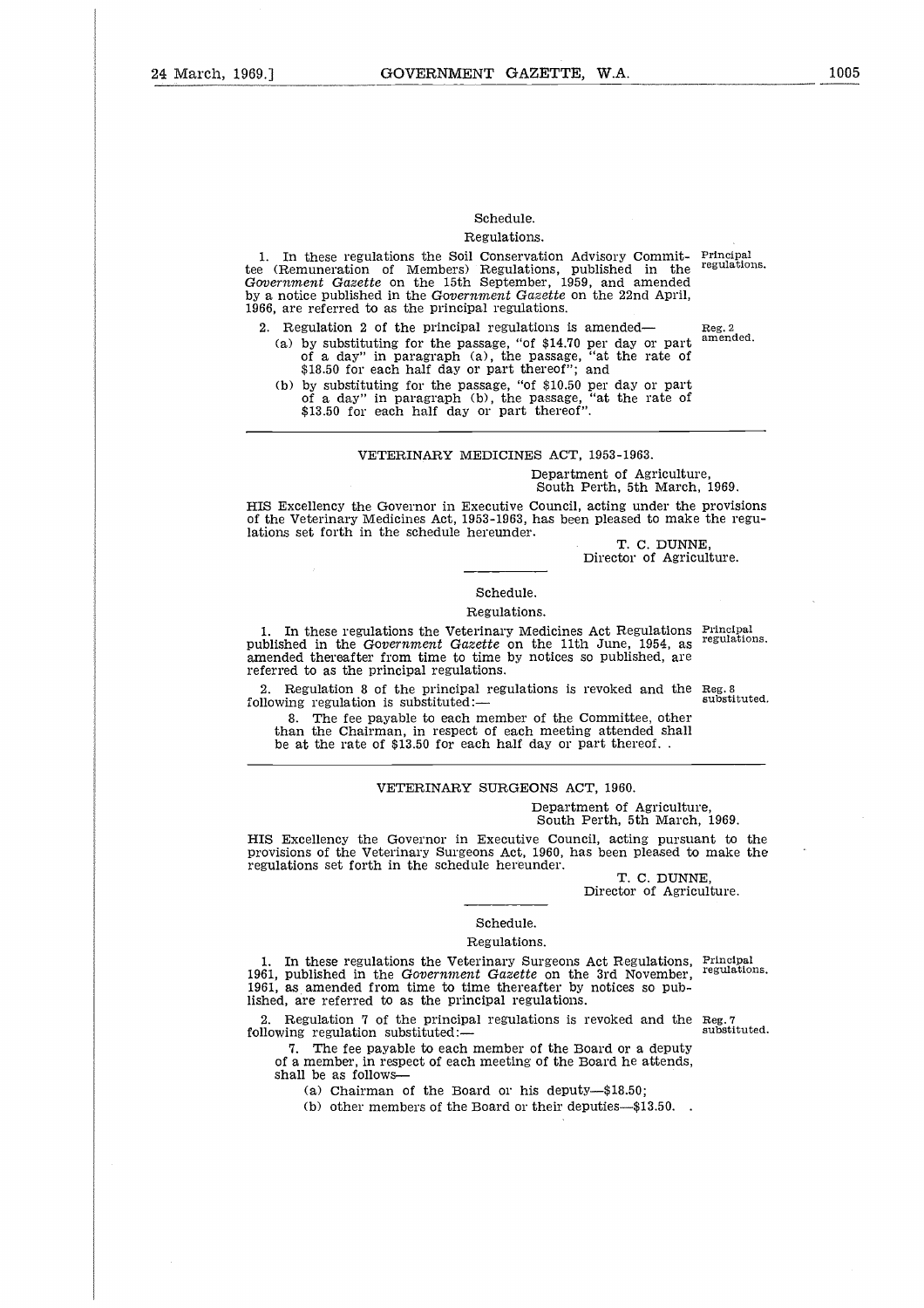## Schedule.

## Regulations.

1. In these regulations the Soil Conservation Advisory Commit-tee (Remuneration of Members) Regulations, published in the *Government Gazette* on the 15th September, 1959, and amended by a notice published in the *Government Gazette* on the 22nd April, 1966, are referred to as the principal regulations. Principal regulations.

2. Regulation 2 of the principal regulations is amended (a) by substituting for the passage, "of \$14.70 per day or part of a day" in paragraph (a), the passage, "at the rate of \$18.50 for each half day or part thereof"; and

(b) by substituting for the passage, "of \$10.50 per day or part of a day" in paragraph (b), the passage, "at the rate of \$13.50 for each half day or part thereof".

#### VETERINARY MEDICINES ACT, 1953-1963.

#### Department of Agriculture, South Perth, 5th March, 1969.

HIS Excellency the Governor in Executive Council, acting under the provisions of the Veterinary Medicines Act, 1953-1963, has been pleased to make the regulations set forth in the schedule hereunder.

T. C. DUNNE Director of Agriculture.

#### Schedule.

#### Regulations.

1. In these regulations the Veterinary Medicines Act Regulations published in the *Government Gazette* on the 11th June, 1954, as amended thereafter from time to time by notices so published, are referred to as the principal regulations. Principal regulations.

 $\bar{z}$ 

2. Regulation 8 of the principal regulations is revoked and the Reg. 8<br>llowing regulation is substituted: following regulation is substituted:-

8. The fee payable to each member of the Committee, other than the Chairman, in respect of each meeting attended shall be at the rate of \$13.50 for each half day or part thereof. .

#### VETERINARY SURGEONS ACT, 1960.

#### Department of Agriculture, South Perth, 5th March, 1969.

HIS Excellency the Governor in Executive Council, acting pursuant to the provisions of the Veterinary Surgeons Act, 1960, has been pleased to make the regulations set forth in the schedule hereunder.

T. C. DUNNE, Director of Agriculture.

## Schedule.

#### Regulations.

1. In these regulations the Veterinary Surgeons Act Regulations, Principal 1.<br>61 published in the Government Gazette on the 3rd November, regulations. 1961, published in the *Government Gazette* on the 3rd November, 1961, *as* amended from time to time thereafter by notices so published, are referred to as the principal regulations. Fils Excellency the Governor in I<br>provisions of the Veterinary Surgeo<br>regulations set forth in the schedul<br>regulations set forth in the schedul<br>1961, published in the Government<br>1961, as amended from time to time<br>ished, ar

2. Regulation 7 of the principal regulations is revoked and the Reg. 7 substituted. following regulation substituted:—<br>7. The fee payable to each member of the Board or a deputy

of a member, in respect of each meeting of the Board he attends, shall be as follows

(a) Chairman of the Board or his deputy—\$18.50;

(b) other members of the Board or their deputies—\$13.50. .

Reg. 2 amended.